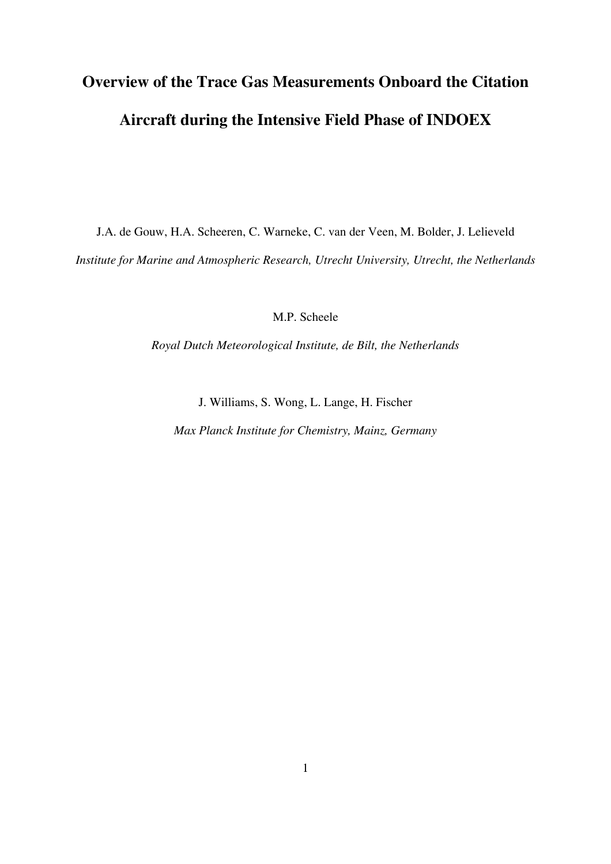# **Overview of the Trace Gas Measurements Onboard the Citation Aircraft during the Intensive Field Phase of INDOEX**

J.A. de Gouw, H.A. Scheeren, C. Warneke, C. van der Veen, M. Bolder, J. Lelieveld *Institute for Marine and Atmospheric Research, Utrecht University, Utrecht, the Netherlands*

M.P. Scheele

*Royal Dutch Meteorological Institute, de Bilt, the Netherlands*

J. Williams, S. Wong, L. Lange, H. Fischer

*Max Planck Institute for Chemistry, Mainz, Germany*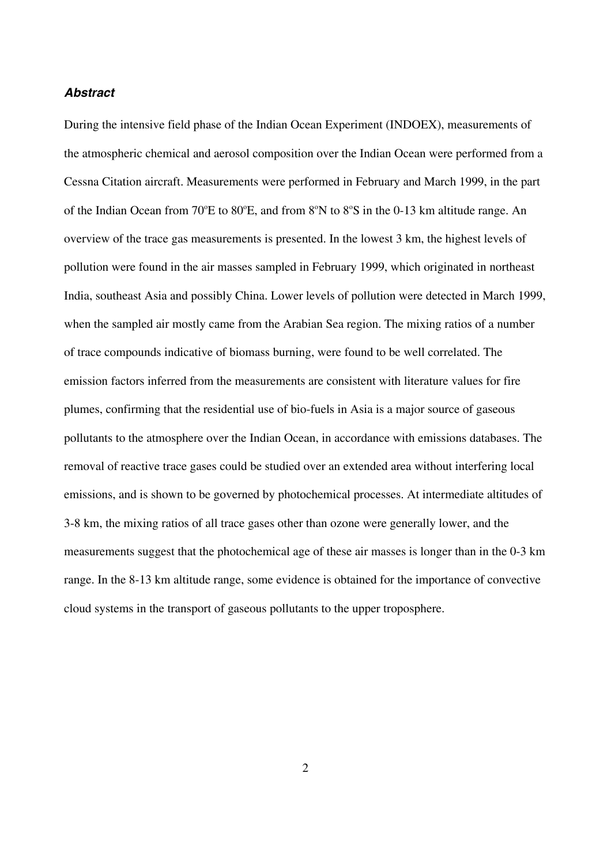## *Abstract*

During the intensive field phase of the Indian Ocean Experiment (INDOEX), measurements of the atmospheric chemical and aerosol composition over the Indian Ocean were performed from a Cessna Citation aircraft. Measurements were performed in February and March 1999, in the part of the Indian Ocean from 70°E to 80°E, and from 8°N to 8°S in the 0-13 km altitude range. An overview of the trace gas measurements is presented. In the lowest 3 km, the highest levels of pollution were found in the air masses sampled in February 1999, which originated in northeast India, southeast Asia and possibly China. Lower levels of pollution were detected in March 1999, when the sampled air mostly came from the Arabian Sea region. The mixing ratios of a number of trace compounds indicative of biomass burning, were found to be well correlated. The emission factors inferred from the measurements are consistent with literature values for fire plumes, confirming that the residential use of bio-fuels in Asia is a major source of gaseous pollutants to the atmosphere over the Indian Ocean, in accordance with emissions databases. The removal of reactive trace gases could be studied over an extended area without interfering local emissions, and is shown to be governed by photochemical processes. At intermediate altitudes of 3-8 km, the mixing ratios of all trace gases other than ozone were generally lower, and the measurements suggest that the photochemical age of these air masses is longer than in the 0-3 km range. In the 8-13 km altitude range, some evidence is obtained for the importance of convective cloud systems in the transport of gaseous pollutants to the upper troposphere.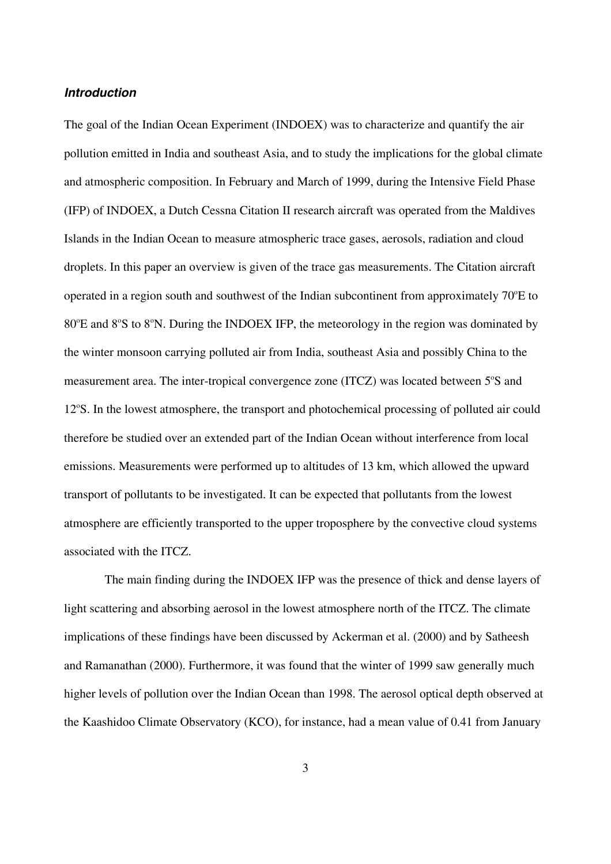## *Introduction*

The goal of the Indian Ocean Experiment (INDOEX) was to characterize and quantify the air pollution emitted in India and southeast Asia, and to study the implications for the global climate and atmospheric composition. In February and March of 1999, during the Intensive Field Phase (IFP) of INDOEX, a Dutch Cessna Citation II research aircraft was operated from the Maldives Islands in the Indian Ocean to measure atmospheric trace gases, aerosols, radiation and cloud droplets. In this paper an overview is given of the trace gas measurements. The Citation aircraft operated in a region south and southwest of the Indian subcontinent from approximately  $70^{\circ}$ E to 80°E and 8°S to 8°N. During the INDOEX IFP, the meteorology in the region was dominated by the winter monsoon carrying polluted air from India, southeast Asia and possibly China to the measurement area. The inter-tropical convergence zone (ITCZ) was located between 5°S and 12°S. In the lowest atmosphere, the transport and photochemical processing of polluted air could therefore be studied over an extended part of the Indian Ocean without interference from local emissions. Measurements were performed up to altitudes of 13 km, which allowed the upward transport of pollutants to be investigated. It can be expected that pollutants from the lowest atmosphere are efficiently transported to the upper troposphere by the convective cloud systems associated with the ITCZ.

The main finding during the INDOEX IFP was the presence of thick and dense layers of light scattering and absorbing aerosol in the lowest atmosphere north of the ITCZ. The climate implications of these findings have been discussed by Ackerman et al. (2000) and by Satheesh and Ramanathan (2000). Furthermore, it was found that the winter of 1999 saw generally much higher levels of pollution over the Indian Ocean than 1998. The aerosol optical depth observed at the Kaashidoo Climate Observatory (KCO), for instance, had a mean value of 0.41 from January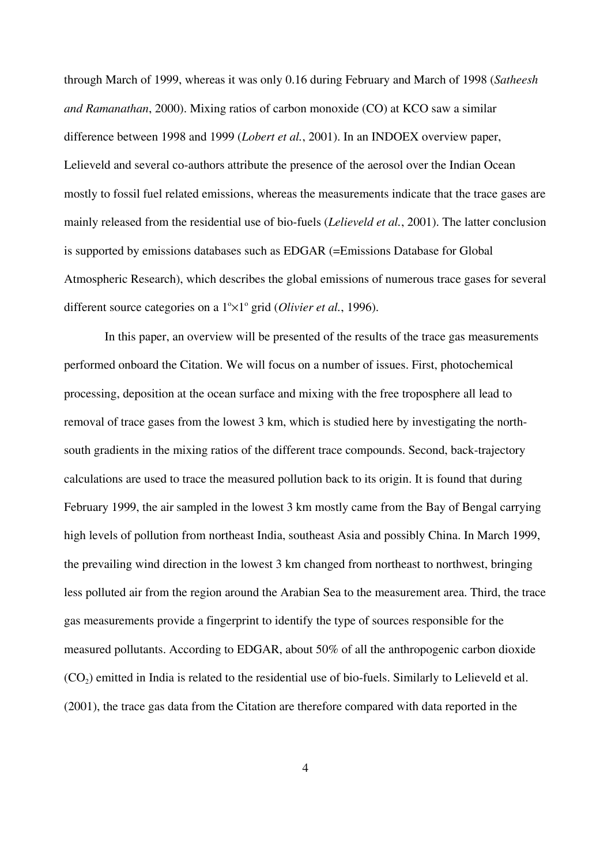through March of 1999, whereas it was only 0.16 during February and March of 1998 (*Satheesh and Ramanathan*, 2000). Mixing ratios of carbon monoxide (CO) at KCO saw a similar difference between 1998 and 1999 (*Lobert et al.*, 2001). In an INDOEX overview paper, Lelieveld and several co-authors attribute the presence of the aerosol over the Indian Ocean mostly to fossil fuel related emissions, whereas the measurements indicate that the trace gases are mainly released from the residential use of bio-fuels (*Lelieveld et al.*, 2001). The latter conclusion is supported by emissions databases such as EDGAR (=Emissions Database for Global Atmospheric Research), which describes the global emissions of numerous trace gases for several different source categories on a 1<sup>o</sup>×1<sup>o</sup> grid (Olivier et al., 1996).

In this paper, an overview will be presented of the results of the trace gas measurements performed onboard the Citation. We will focus on a number of issues. First, photochemical processing, deposition at the ocean surface and mixing with the free troposphere all lead to removal of trace gases from the lowest 3 km, which is studied here by investigating the northsouth gradients in the mixing ratios of the different trace compounds. Second, back-trajectory calculations are used to trace the measured pollution back to its origin. It is found that during February 1999, the air sampled in the lowest 3 km mostly came from the Bay of Bengal carrying high levels of pollution from northeast India, southeast Asia and possibly China. In March 1999, the prevailing wind direction in the lowest 3 km changed from northeast to northwest, bringing less polluted air from the region around the Arabian Sea to the measurement area. Third, the trace gas measurements provide a fingerprint to identify the type of sources responsible for the measured pollutants. According to EDGAR, about 50% of all the anthropogenic carbon dioxide (CO2) emitted in India is related to the residential use of bio-fuels. Similarly to Lelieveld et al. (2001), the trace gas data from the Citation are therefore compared with data reported in the

4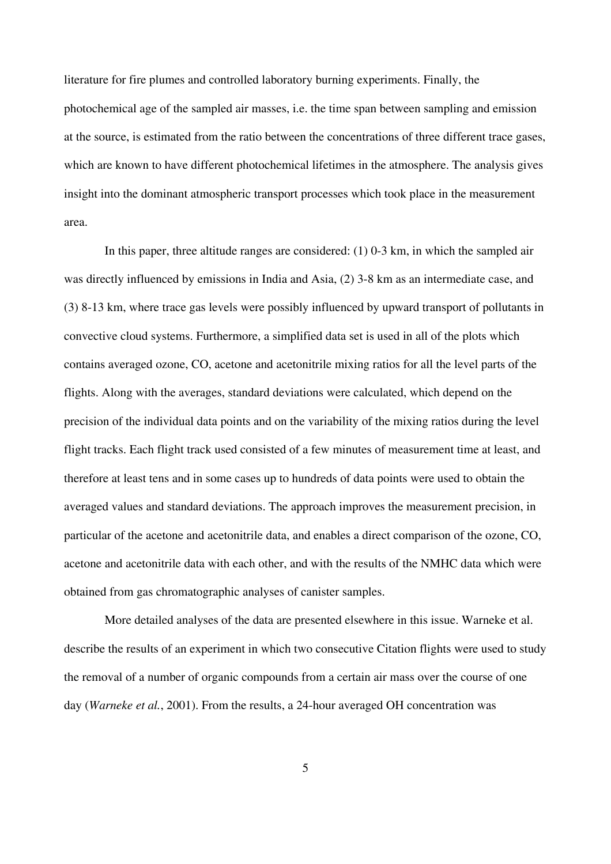literature for fire plumes and controlled laboratory burning experiments. Finally, the photochemical age of the sampled air masses, i.e. the time span between sampling and emission at the source, is estimated from the ratio between the concentrations of three different trace gases, which are known to have different photochemical lifetimes in the atmosphere. The analysis gives insight into the dominant atmospheric transport processes which took place in the measurement area.

In this paper, three altitude ranges are considered: (1) 0-3 km, in which the sampled air was directly influenced by emissions in India and Asia, (2) 3-8 km as an intermediate case, and (3) 8-13 km, where trace gas levels were possibly influenced by upward transport of pollutants in convective cloud systems. Furthermore, a simplified data set is used in all of the plots which contains averaged ozone, CO, acetone and acetonitrile mixing ratios for all the level parts of the flights. Along with the averages, standard deviations were calculated, which depend on the precision of the individual data points and on the variability of the mixing ratios during the level flight tracks. Each flight track used consisted of a few minutes of measurement time at least, and therefore at least tens and in some cases up to hundreds of data points were used to obtain the averaged values and standard deviations. The approach improves the measurement precision, in particular of the acetone and acetonitrile data, and enables a direct comparison of the ozone, CO, acetone and acetonitrile data with each other, and with the results of the NMHC data which were obtained from gas chromatographic analyses of canister samples.

More detailed analyses of the data are presented elsewhere in this issue. Warneke et al. describe the results of an experiment in which two consecutive Citation flights were used to study the removal of a number of organic compounds from a certain air mass over the course of one day (*Warneke et al.*, 2001). From the results, a 24-hour averaged OH concentration was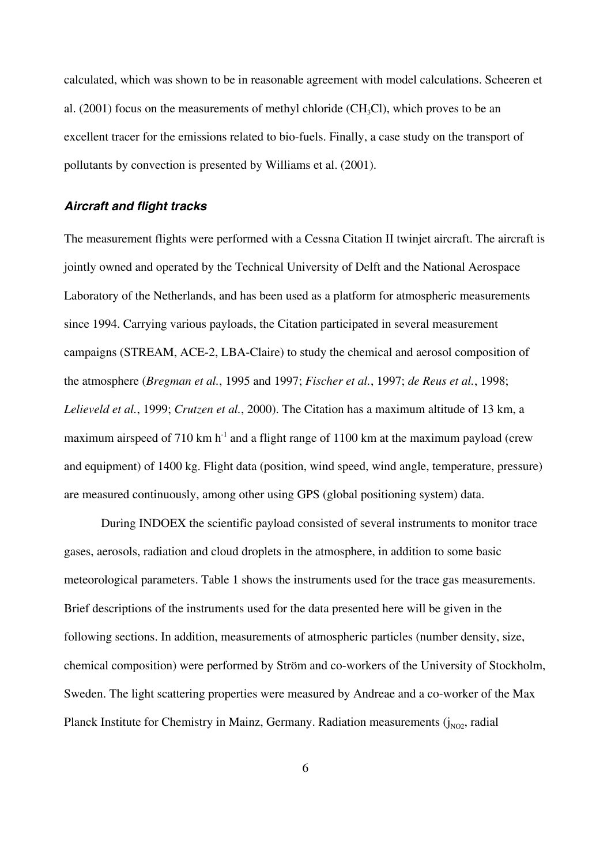calculated, which was shown to be in reasonable agreement with model calculations. Scheeren et al.  $(2001)$  focus on the measurements of methyl chloride  $(CH<sub>3</sub>Cl)$ , which proves to be an excellent tracer for the emissions related to bio-fuels. Finally, a case study on the transport of pollutants by convection is presented by Williams et al. (2001).

## *Aircraft and flight tracks*

The measurement flights were performed with a Cessna Citation II twinjet aircraft. The aircraft is jointly owned and operated by the Technical University of Delft and the National Aerospace Laboratory of the Netherlands, and has been used as a platform for atmospheric measurements since 1994. Carrying various payloads, the Citation participated in several measurement campaigns (STREAM, ACE-2, LBA-Claire) to study the chemical and aerosol composition of the atmosphere (*Bregman et al.*, 1995 and 1997; *Fischer et al.*, 1997; *de Reus et al.*, 1998; *Lelieveld et al.*, 1999; *Crutzen et al.*, 2000). The Citation has a maximum altitude of 13 km, a maximum airspeed of 710 km  $h^{-1}$  and a flight range of 1100 km at the maximum payload (crew and equipment) of 1400 kg. Flight data (position, wind speed, wind angle, temperature, pressure) are measured continuously, among other using GPS (global positioning system) data.

During INDOEX the scientific payload consisted of several instruments to monitor trace gases, aerosols, radiation and cloud droplets in the atmosphere, in addition to some basic meteorological parameters. Table 1 shows the instruments used for the trace gas measurements. Brief descriptions of the instruments used for the data presented here will be given in the following sections. In addition, measurements of atmospheric particles (number density, size, chemical composition) were performed by Ström and co-workers of the University of Stockholm, Sweden. The light scattering properties were measured by Andreae and a co-worker of the Max Planck Institute for Chemistry in Mainz, Germany. Radiation measurements  $(j_{NO2},$  radial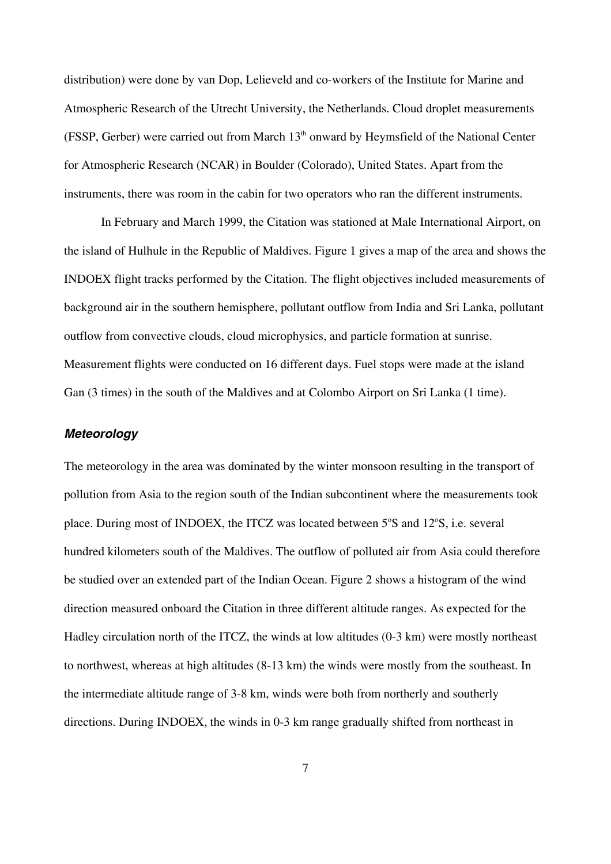distribution) were done by van Dop, Lelieveld and co-workers of the Institute for Marine and Atmospheric Research of the Utrecht University, the Netherlands. Cloud droplet measurements (FSSP, Gerber) were carried out from March  $13<sup>th</sup>$  onward by Heymsfield of the National Center for Atmospheric Research (NCAR) in Boulder (Colorado), United States. Apart from the instruments, there was room in the cabin for two operators who ran the different instruments.

In February and March 1999, the Citation was stationed at Male International Airport, on the island of Hulhule in the Republic of Maldives. Figure 1 gives a map of the area and shows the INDOEX flight tracks performed by the Citation. The flight objectives included measurements of background air in the southern hemisphere, pollutant outflow from India and Sri Lanka, pollutant outflow from convective clouds, cloud microphysics, and particle formation at sunrise. Measurement flights were conducted on 16 different days. Fuel stops were made at the island Gan (3 times) in the south of the Maldives and at Colombo Airport on Sri Lanka (1 time).

## *Meteorology*

The meteorology in the area was dominated by the winter monsoon resulting in the transport of pollution from Asia to the region south of the Indian subcontinent where the measurements took place. During most of INDOEX, the ITCZ was located between 5°S and 12°S, i.e. several hundred kilometers south of the Maldives. The outflow of polluted air from Asia could therefore be studied over an extended part of the Indian Ocean. Figure 2 shows a histogram of the wind direction measured onboard the Citation in three different altitude ranges. As expected for the Hadley circulation north of the ITCZ, the winds at low altitudes (0-3 km) were mostly northeast to northwest, whereas at high altitudes (8-13 km) the winds were mostly from the southeast. In the intermediate altitude range of 3-8 km, winds were both from northerly and southerly directions. During INDOEX, the winds in 0-3 km range gradually shifted from northeast in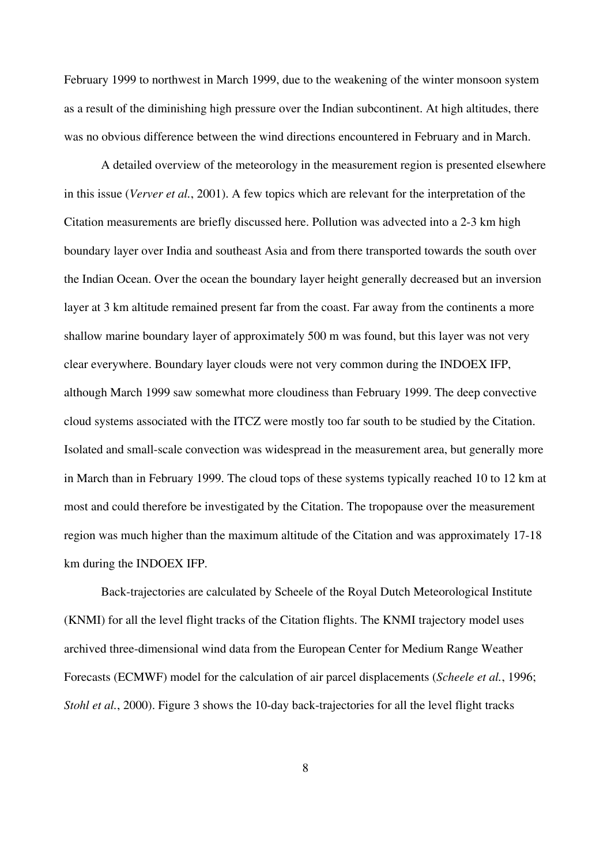February 1999 to northwest in March 1999, due to the weakening of the winter monsoon system as a result of the diminishing high pressure over the Indian subcontinent. At high altitudes, there was no obvious difference between the wind directions encountered in February and in March.

A detailed overview of the meteorology in the measurement region is presented elsewhere in this issue (*Verver et al.*, 2001). A few topics which are relevant for the interpretation of the Citation measurements are briefly discussed here. Pollution was advected into a 2-3 km high boundary layer over India and southeast Asia and from there transported towards the south over the Indian Ocean. Over the ocean the boundary layer height generally decreased but an inversion layer at 3 km altitude remained present far from the coast. Far away from the continents a more shallow marine boundary layer of approximately 500 m was found, but this layer was not very clear everywhere. Boundary layer clouds were not very common during the INDOEX IFP, although March 1999 saw somewhat more cloudiness than February 1999. The deep convective cloud systems associated with the ITCZ were mostly too far south to be studied by the Citation. Isolated and small-scale convection was widespread in the measurement area, but generally more in March than in February 1999. The cloud tops of these systems typically reached 10 to 12 km at most and could therefore be investigated by the Citation. The tropopause over the measurement region was much higher than the maximum altitude of the Citation and was approximately 17-18 km during the INDOEX IFP.

Back-trajectories are calculated by Scheele of the Royal Dutch Meteorological Institute (KNMI) for all the level flight tracks of the Citation flights. The KNMI trajectory model uses archived three-dimensional wind data from the European Center for Medium Range Weather Forecasts (ECMWF) model for the calculation of air parcel displacements (*Scheele et al.*, 1996; *Stohl et al.*, 2000). Figure 3 shows the 10-day back-trajectories for all the level flight tracks

8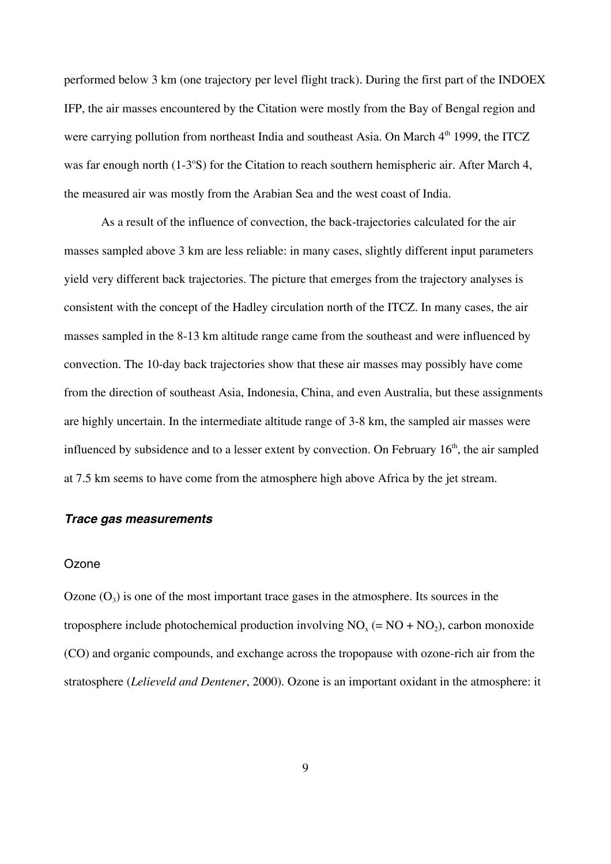performed below 3 km (one trajectory per level flight track). During the first part of the INDOEX IFP, the air masses encountered by the Citation were mostly from the Bay of Bengal region and were carrying pollution from northeast India and southeast Asia. On March  $4<sup>th</sup>$  1999, the ITCZ was far enough north (1-3°S) for the Citation to reach southern hemispheric air. After March 4, the measured air was mostly from the Arabian Sea and the west coast of India.

As a result of the influence of convection, the back-trajectories calculated for the air masses sampled above 3 km are less reliable: in many cases, slightly different input parameters yield very different back trajectories. The picture that emerges from the trajectory analyses is consistent with the concept of the Hadley circulation north of the ITCZ. In many cases, the air masses sampled in the 8-13 km altitude range came from the southeast and were influenced by convection. The 10-day back trajectories show that these air masses may possibly have come from the direction of southeast Asia, Indonesia, China, and even Australia, but these assignments are highly uncertain. In the intermediate altitude range of 3-8 km, the sampled air masses were influenced by subsidence and to a lesser extent by convection. On February  $16<sup>th</sup>$ , the air sampled at 7.5 km seems to have come from the atmosphere high above Africa by the jet stream.

## *Trace gas measurements*

#### **Ozone**

Ozone  $(O_3)$  is one of the most important trace gases in the atmosphere. Its sources in the troposphere include photochemical production involving  $NO<sub>x</sub> (= NO + NO<sub>2</sub>)$ , carbon monoxide (CO) and organic compounds, and exchange across the tropopause with ozone-rich air from the stratosphere (*Lelieveld and Dentener*, 2000). Ozone is an important oxidant in the atmosphere: it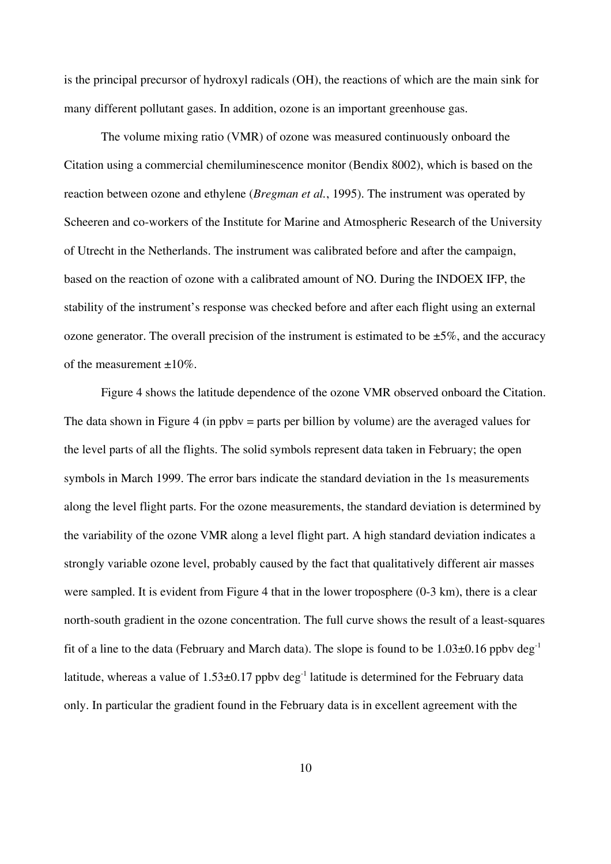is the principal precursor of hydroxyl radicals (OH), the reactions of which are the main sink for many different pollutant gases. In addition, ozone is an important greenhouse gas.

The volume mixing ratio (VMR) of ozone was measured continuously onboard the Citation using a commercial chemiluminescence monitor (Bendix 8002), which is based on the reaction between ozone and ethylene (*Bregman et al.*, 1995). The instrument was operated by Scheeren and co-workers of the Institute for Marine and Atmospheric Research of the University of Utrecht in the Netherlands. The instrument was calibrated before and after the campaign, based on the reaction of ozone with a calibrated amount of NO. During the INDOEX IFP, the stability of the instrument's response was checked before and after each flight using an external ozone generator. The overall precision of the instrument is estimated to be  $\pm 5\%$ , and the accuracy of the measurement  $\pm 10\%$ .

Figure 4 shows the latitude dependence of the ozone VMR observed onboard the Citation. The data shown in Figure 4 (in ppby = parts per billion by volume) are the averaged values for the level parts of all the flights. The solid symbols represent data taken in February; the open symbols in March 1999. The error bars indicate the standard deviation in the 1s measurements along the level flight parts. For the ozone measurements, the standard deviation is determined by the variability of the ozone VMR along a level flight part. A high standard deviation indicates a strongly variable ozone level, probably caused by the fact that qualitatively different air masses were sampled. It is evident from Figure 4 that in the lower troposphere (0-3 km), there is a clear north-south gradient in the ozone concentration. The full curve shows the result of a least-squares fit of a line to the data (February and March data). The slope is found to be  $1.03\pm0.16$  ppby deg<sup>-1</sup> latitude, whereas a value of  $1.53\pm0.17$  ppby deg<sup>-1</sup> latitude is determined for the February data only. In particular the gradient found in the February data is in excellent agreement with the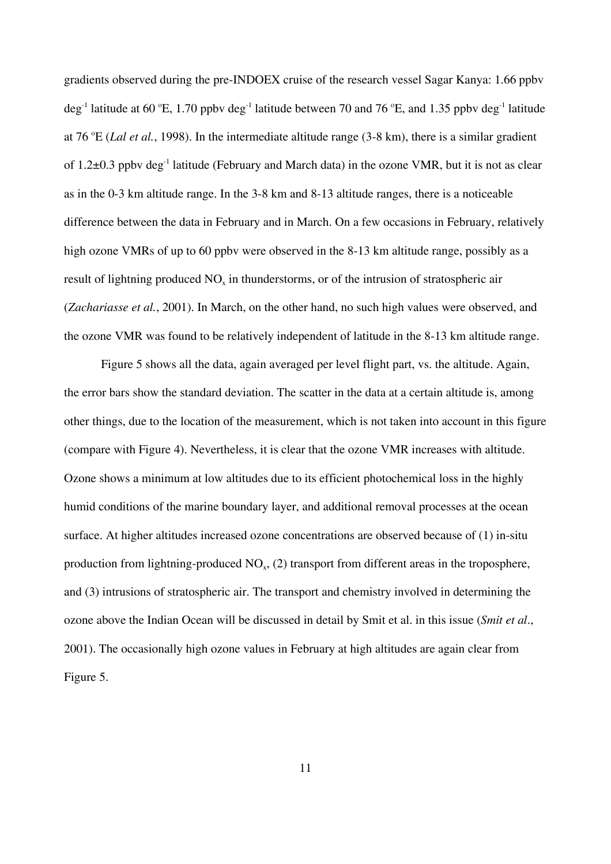gradients observed during the pre-INDOEX cruise of the research vessel Sagar Kanya: 1.66 ppbv deg<sup>-1</sup> latitude at 60 °E, 1.70 ppbv deg<sup>-1</sup> latitude between 70 and 76 °E, and 1.35 ppbv deg<sup>-1</sup> latitude at 76 °E (*Lal et al.*, 1998). In the intermediate altitude range (3-8 km), there is a similar gradient of 1.2±0.3 ppby deg<sup>-1</sup> latitude (February and March data) in the ozone VMR, but it is not as clear as in the 0-3 km altitude range. In the 3-8 km and 8-13 altitude ranges, there is a noticeable difference between the data in February and in March. On a few occasions in February, relatively high ozone VMRs of up to 60 ppby were observed in the 8-13 km altitude range, possibly as a result of lightning produced  $NO<sub>x</sub>$  in thunderstorms, or of the intrusion of stratospheric air (*Zachariasse et al.*, 2001). In March, on the other hand, no such high values were observed, and the ozone VMR was found to be relatively independent of latitude in the 8-13 km altitude range.

Figure 5 shows all the data, again averaged per level flight part, vs. the altitude. Again, the error bars show the standard deviation. The scatter in the data at a certain altitude is, among other things, due to the location of the measurement, which is not taken into account in this figure (compare with Figure 4). Nevertheless, it is clear that the ozone VMR increases with altitude. Ozone shows a minimum at low altitudes due to its efficient photochemical loss in the highly humid conditions of the marine boundary layer, and additional removal processes at the ocean surface. At higher altitudes increased ozone concentrations are observed because of (1) in-situ production from lightning-produced  $NO<sub>x</sub>$ , (2) transport from different areas in the troposphere, and (3) intrusions of stratospheric air. The transport and chemistry involved in determining the ozone above the Indian Ocean will be discussed in detail by Smit et al. in this issue (*Smit et al*., 2001). The occasionally high ozone values in February at high altitudes are again clear from Figure 5.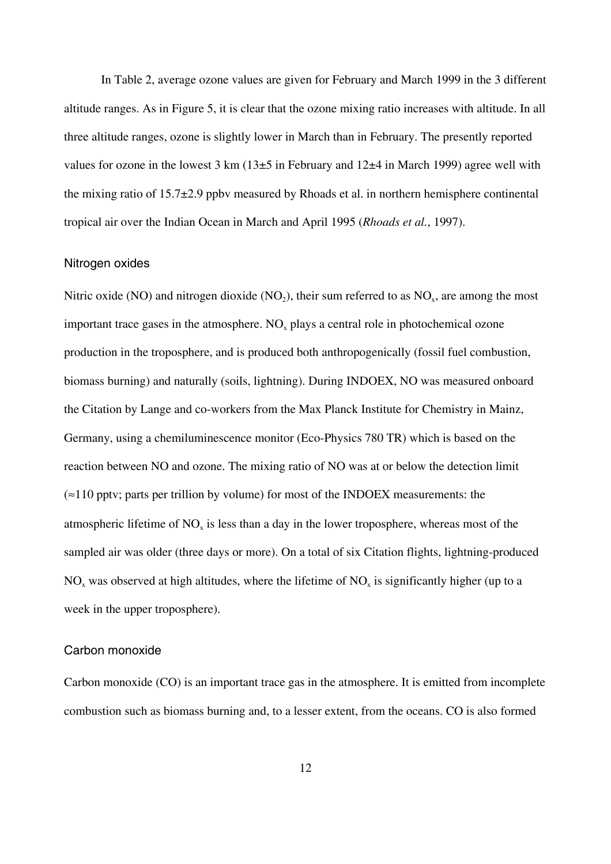In Table 2, average ozone values are given for February and March 1999 in the 3 different altitude ranges. As in Figure 5, it is clear that the ozone mixing ratio increases with altitude. In all three altitude ranges, ozone is slightly lower in March than in February. The presently reported values for ozone in the lowest  $3 \text{ km } (13\pm5)$  in February and  $12\pm4$  in March 1999) agree well with the mixing ratio of  $15.7\pm2.9$  ppbv measured by Rhoads et al. in northern hemisphere continental tropical air over the Indian Ocean in March and April 1995 (*Rhoads et al.*, 1997).

## Nitrogen oxides

Nitric oxide (NO) and nitrogen dioxide (NO<sub>2</sub>), their sum referred to as  $NO<sub>x</sub>$ , are among the most important trace gases in the atmosphere. NO<sub>x</sub> plays a central role in photochemical ozone production in the troposphere, and is produced both anthropogenically (fossil fuel combustion, biomass burning) and naturally (soils, lightning). During INDOEX, NO was measured onboard the Citation by Lange and co-workers from the Max Planck Institute for Chemistry in Mainz, Germany, using a chemiluminescence monitor (Eco-Physics 780 TR) which is based on the reaction between NO and ozone. The mixing ratio of NO was at or below the detection limit  $\approx$  110 pptv; parts per trillion by volume) for most of the INDOEX measurements: the atmospheric lifetime of NO<sub>x</sub> is less than a day in the lower troposphere, whereas most of the sampled air was older (three days or more). On a total of six Citation flights, lightning-produced  $NO<sub>x</sub>$  was observed at high altitudes, where the lifetime of  $NO<sub>x</sub>$  is significantly higher (up to a week in the upper troposphere).

## Carbon monoxide

Carbon monoxide (CO) is an important trace gas in the atmosphere. It is emitted from incomplete combustion such as biomass burning and, to a lesser extent, from the oceans. CO is also formed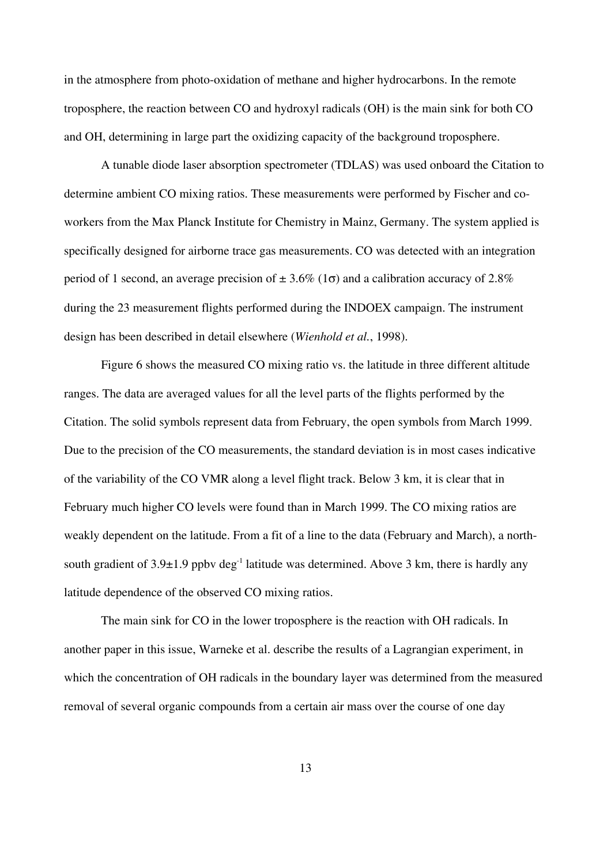in the atmosphere from photo-oxidation of methane and higher hydrocarbons. In the remote troposphere, the reaction between CO and hydroxyl radicals (OH) is the main sink for both CO and OH, determining in large part the oxidizing capacity of the background troposphere.

A tunable diode laser absorption spectrometer (TDLAS) was used onboard the Citation to determine ambient CO mixing ratios. These measurements were performed by Fischer and coworkers from the Max Planck Institute for Chemistry in Mainz, Germany. The system applied is specifically designed for airborne trace gas measurements. CO was detected with an integration period of 1 second, an average precision of  $\pm 3.6\%$  (1 $\sigma$ ) and a calibration accuracy of 2.8% during the 23 measurement flights performed during the INDOEX campaign. The instrument design has been described in detail elsewhere (*Wienhold et al.*, 1998).

Figure 6 shows the measured CO mixing ratio vs. the latitude in three different altitude ranges. The data are averaged values for all the level parts of the flights performed by the Citation. The solid symbols represent data from February, the open symbols from March 1999. Due to the precision of the CO measurements, the standard deviation is in most cases indicative of the variability of the CO VMR along a level flight track. Below 3 km, it is clear that in February much higher CO levels were found than in March 1999. The CO mixing ratios are weakly dependent on the latitude. From a fit of a line to the data (February and March), a northsouth gradient of  $3.9\pm1.9$  ppby deg<sup>-1</sup> latitude was determined. Above 3 km, there is hardly any latitude dependence of the observed CO mixing ratios.

The main sink for CO in the lower troposphere is the reaction with OH radicals. In another paper in this issue, Warneke et al. describe the results of a Lagrangian experiment, in which the concentration of OH radicals in the boundary layer was determined from the measured removal of several organic compounds from a certain air mass over the course of one day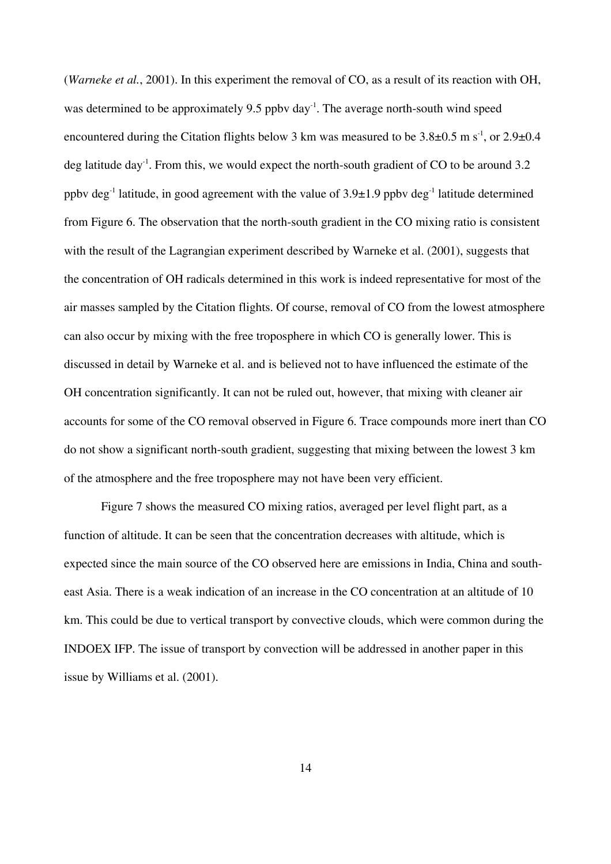(*Warneke et al.*, 2001). In this experiment the removal of CO, as a result of its reaction with OH, was determined to be approximately 9.5 ppby day<sup>-1</sup>. The average north-south wind speed encountered during the Citation flights below 3 km was measured to be  $3.8\pm0.5$  m s<sup>-1</sup>, or 2.9 $\pm0.4$ deg latitude day<sup>-1</sup>. From this, we would expect the north-south gradient of CO to be around 3.2 ppbv deg<sup>-1</sup> latitude, in good agreement with the value of  $3.9\pm1.9$  ppbv deg<sup>-1</sup> latitude determined from Figure 6. The observation that the north-south gradient in the CO mixing ratio is consistent with the result of the Lagrangian experiment described by Warneke et al. (2001), suggests that the concentration of OH radicals determined in this work is indeed representative for most of the air masses sampled by the Citation flights. Of course, removal of CO from the lowest atmosphere can also occur by mixing with the free troposphere in which CO is generally lower. This is discussed in detail by Warneke et al. and is believed not to have influenced the estimate of the OH concentration significantly. It can not be ruled out, however, that mixing with cleaner air accounts for some of the CO removal observed in Figure 6. Trace compounds more inert than CO do not show a significant north-south gradient, suggesting that mixing between the lowest 3 km of the atmosphere and the free troposphere may not have been very efficient.

Figure 7 shows the measured CO mixing ratios, averaged per level flight part, as a function of altitude. It can be seen that the concentration decreases with altitude, which is expected since the main source of the CO observed here are emissions in India, China and southeast Asia. There is a weak indication of an increase in the CO concentration at an altitude of 10 km. This could be due to vertical transport by convective clouds, which were common during the INDOEX IFP. The issue of transport by convection will be addressed in another paper in this issue by Williams et al. (2001).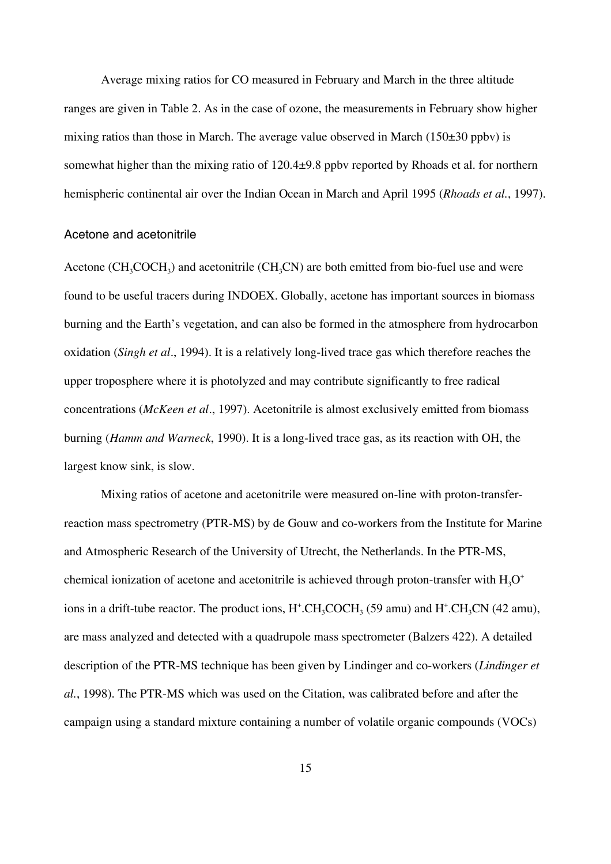Average mixing ratios for CO measured in February and March in the three altitude ranges are given in Table 2. As in the case of ozone, the measurements in February show higher mixing ratios than those in March. The average value observed in March  $(150\pm30 \text{ ppbv})$  is somewhat higher than the mixing ratio of 120.4±9.8 ppbv reported by Rhoads et al. for northern hemispheric continental air over the Indian Ocean in March and April 1995 (*Rhoads et al.*, 1997).

## Acetone and acetonitrile

Acetone  $(CH_3COCH_3)$  and acetonitrile  $(CH_3CN)$  are both emitted from bio-fuel use and were found to be useful tracers during INDOEX. Globally, acetone has important sources in biomass burning and the Earth's vegetation, and can also be formed in the atmosphere from hydrocarbon oxidation (*Singh et al*., 1994). It is a relatively long-lived trace gas which therefore reaches the upper troposphere where it is photolyzed and may contribute significantly to free radical concentrations (*McKeen et al*., 1997). Acetonitrile is almost exclusively emitted from biomass burning (*Hamm and Warneck*, 1990). It is a long-lived trace gas, as its reaction with OH, the largest know sink, is slow.

Mixing ratios of acetone and acetonitrile were measured on-line with proton-transferreaction mass spectrometry (PTR-MS) by de Gouw and co-workers from the Institute for Marine and Atmospheric Research of the University of Utrecht, the Netherlands. In the PTR-MS, chemical ionization of acetone and acetonitrile is achieved through proton-transfer with  $H_3O^+$ ions in a drift-tube reactor. The product ions,  $H^{\text{*}}$ .CH<sub>3</sub>COCH<sub>3</sub> (59 amu) and  $H^{\text{*}}$ .CH<sub>3</sub>CN (42 amu), are mass analyzed and detected with a quadrupole mass spectrometer (Balzers 422). A detailed description of the PTR-MS technique has been given by Lindinger and co-workers (*Lindinger et al.*, 1998). The PTR-MS which was used on the Citation, was calibrated before and after the campaign using a standard mixture containing a number of volatile organic compounds (VOCs)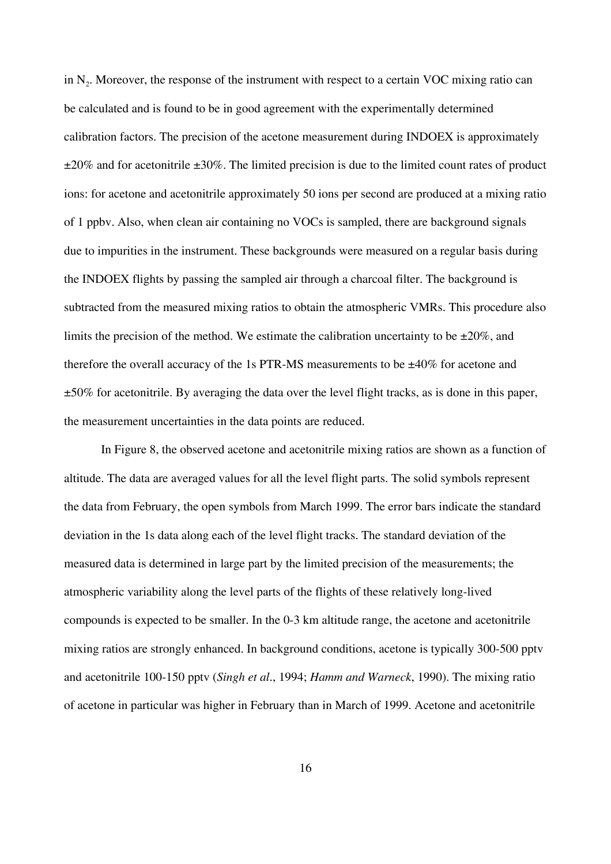in N<sub>2</sub>. Moreover, the response of the instrument with respect to a certain VOC mixing ratio can be calculated and is found to be in good agreement with the experimentally determined calibration factors. The precision of the acetone measurement during INDOEX is approximately  $\pm 20\%$  and for acetonitrile  $\pm 30\%$ . The limited precision is due to the limited count rates of product ions: for acetone and acetonitrile approximately 50 ions per second are produced at a mixing ratio of 1 ppbv. Also, when clean air containing no VOCs is sampled, there are background signals due to impurities in the instrument. These backgrounds were measured on a regular basis during the INDOEX flights by passing the sampled air through a charcoal filter. The background is subtracted from the measured mixing ratios to obtain the atmospheric VMRs. This procedure also limits the precision of the method. We estimate the calibration uncertainty to be  $\pm 20\%$ , and therefore the overall accuracy of the 1s PTR-MS measurements to be  $\pm 40\%$  for acetone and ±50% for acetonitrile. By averaging the data over the level flight tracks, as is done in this paper, the measurement uncertainties in the data points are reduced.

In Figure 8, the observed acetone and acetonitrile mixing ratios are shown as a function of altitude. The data are averaged values for all the level flight parts. The solid symbols represent the data from February, the open symbols from March 1999. The error bars indicate the standard deviation in the 1s data along each of the level flight tracks. The standard deviation of the measured data is determined in large part by the limited precision of the measurements; the atmospheric variability along the level parts of the flights of these relatively long-lived compounds is expected to be smaller. In the 0-3 km altitude range, the acetone and acetonitrile mixing ratios are strongly enhanced. In background conditions, acetone is typically 300-500 pptv and acetonitrile 100-150 pptv (*Singh et al*., 1994; *Hamm and Warneck*, 1990). The mixing ratio of acetone in particular was higher in February than in March of 1999. Acetone and acetonitrile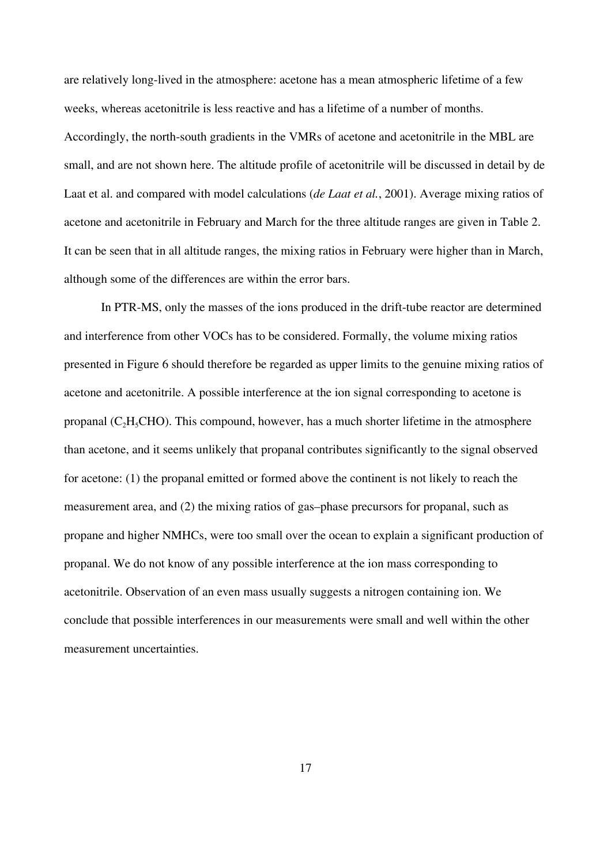are relatively long-lived in the atmosphere: acetone has a mean atmospheric lifetime of a few weeks, whereas acetonitrile is less reactive and has a lifetime of a number of months. Accordingly, the north-south gradients in the VMRs of acetone and acetonitrile in the MBL are small, and are not shown here. The altitude profile of acetonitrile will be discussed in detail by de Laat et al. and compared with model calculations (*de Laat et al.*, 2001). Average mixing ratios of acetone and acetonitrile in February and March for the three altitude ranges are given in Table 2. It can be seen that in all altitude ranges, the mixing ratios in February were higher than in March, although some of the differences are within the error bars.

In PTR-MS, only the masses of the ions produced in the drift-tube reactor are determined and interference from other VOCs has to be considered. Formally, the volume mixing ratios presented in Figure 6 should therefore be regarded as upper limits to the genuine mixing ratios of acetone and acetonitrile. A possible interference at the ion signal corresponding to acetone is propanal  $(C<sub>2</sub>H<sub>5</sub>CHO)$ . This compound, however, has a much shorter lifetime in the atmosphere than acetone, and it seems unlikely that propanal contributes significantly to the signal observed for acetone: (1) the propanal emitted or formed above the continent is not likely to reach the measurement area, and (2) the mixing ratios of gas–phase precursors for propanal, such as propane and higher NMHCs, were too small over the ocean to explain a significant production of propanal. We do not know of any possible interference at the ion mass corresponding to acetonitrile. Observation of an even mass usually suggests a nitrogen containing ion. We conclude that possible interferences in our measurements were small and well within the other measurement uncertainties.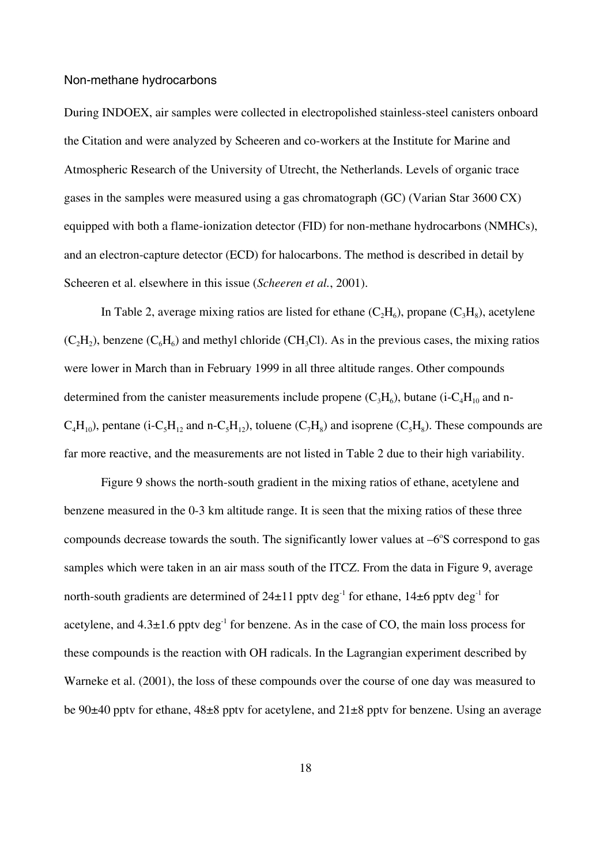#### Non-methane hydrocarbons

During INDOEX, air samples were collected in electropolished stainless-steel canisters onboard the Citation and were analyzed by Scheeren and co-workers at the Institute for Marine and Atmospheric Research of the University of Utrecht, the Netherlands. Levels of organic trace gases in the samples were measured using a gas chromatograph (GC) (Varian Star 3600 CX) equipped with both a flame-ionization detector (FID) for non-methane hydrocarbons (NMHCs), and an electron-capture detector (ECD) for halocarbons. The method is described in detail by Scheeren et al. elsewhere in this issue (*Scheeren et al.*, 2001).

In Table 2, average mixing ratios are listed for ethane  $(C_2H_6)$ , propane  $(C_3H_8)$ , acetylene  $(C_2H_2)$ , benzene  $(C_6H_6)$  and methyl chloride (CH<sub>3</sub>Cl). As in the previous cases, the mixing ratios were lower in March than in February 1999 in all three altitude ranges. Other compounds determined from the canister measurements include propene  $(C_3H_6)$ , butane (i-C<sub>4</sub>H<sub>10</sub> and n- $C_4H_{10}$ , pentane (i-C<sub>5</sub>H<sub>12</sub> and n-C<sub>5</sub>H<sub>12</sub>), toluene (C<sub>7</sub>H<sub>8</sub>) and isoprene (C<sub>5</sub>H<sub>8</sub>). These compounds are far more reactive, and the measurements are not listed in Table 2 due to their high variability.

Figure 9 shows the north-south gradient in the mixing ratios of ethane, acetylene and benzene measured in the 0-3 km altitude range. It is seen that the mixing ratios of these three compounds decrease towards the south. The significantly lower values at  $-6^{\circ}$ S correspond to gas samples which were taken in an air mass south of the ITCZ. From the data in Figure 9, average north-south gradients are determined of  $24\pm11$  pptv deg<sup>-1</sup> for ethane,  $14\pm6$  pptv deg<sup>-1</sup> for acetylene, and  $4.3\pm1.6$  pptv deg<sup>-1</sup> for benzene. As in the case of CO, the main loss process for these compounds is the reaction with OH radicals. In the Lagrangian experiment described by Warneke et al. (2001), the loss of these compounds over the course of one day was measured to be 90±40 pptv for ethane, 48±8 pptv for acetylene, and 21±8 pptv for benzene. Using an average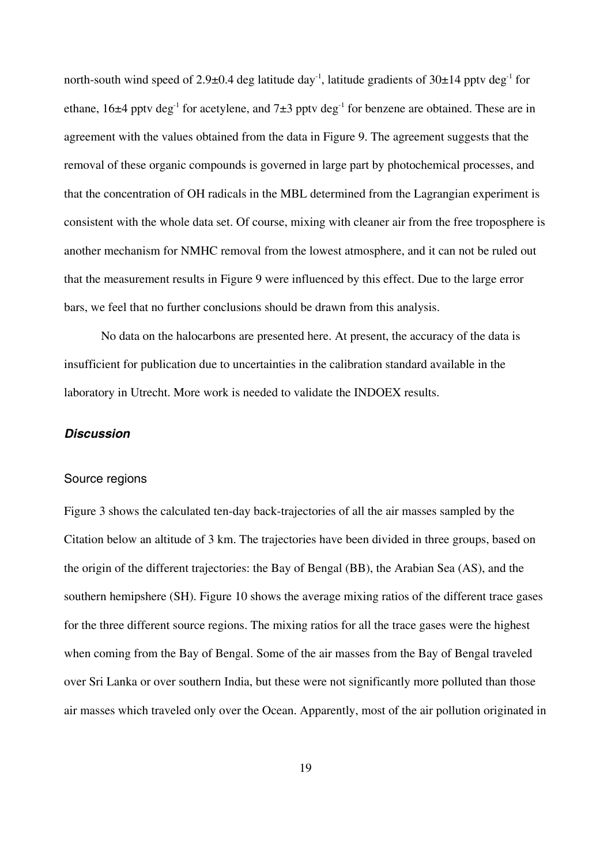north-south wind speed of 2.9 $\pm$ 0.4 deg latitude day<sup>-1</sup>, latitude gradients of 30 $\pm$ 14 pptv deg<sup>-1</sup> for ethane,  $16\pm4$  pptv deg<sup>-1</sup> for acetylene, and  $7\pm3$  pptv deg<sup>-1</sup> for benzene are obtained. These are in agreement with the values obtained from the data in Figure 9. The agreement suggests that the removal of these organic compounds is governed in large part by photochemical processes, and that the concentration of OH radicals in the MBL determined from the Lagrangian experiment is consistent with the whole data set. Of course, mixing with cleaner air from the free troposphere is another mechanism for NMHC removal from the lowest atmosphere, and it can not be ruled out that the measurement results in Figure 9 were influenced by this effect. Due to the large error bars, we feel that no further conclusions should be drawn from this analysis.

No data on the halocarbons are presented here. At present, the accuracy of the data is insufficient for publication due to uncertainties in the calibration standard available in the laboratory in Utrecht. More work is needed to validate the INDOEX results.

## *Discussion*

## Source regions

Figure 3 shows the calculated ten-day back-trajectories of all the air masses sampled by the Citation below an altitude of 3 km. The trajectories have been divided in three groups, based on the origin of the different trajectories: the Bay of Bengal (BB), the Arabian Sea (AS), and the southern hemipshere (SH). Figure 10 shows the average mixing ratios of the different trace gases for the three different source regions. The mixing ratios for all the trace gases were the highest when coming from the Bay of Bengal. Some of the air masses from the Bay of Bengal traveled over Sri Lanka or over southern India, but these were not significantly more polluted than those air masses which traveled only over the Ocean. Apparently, most of the air pollution originated in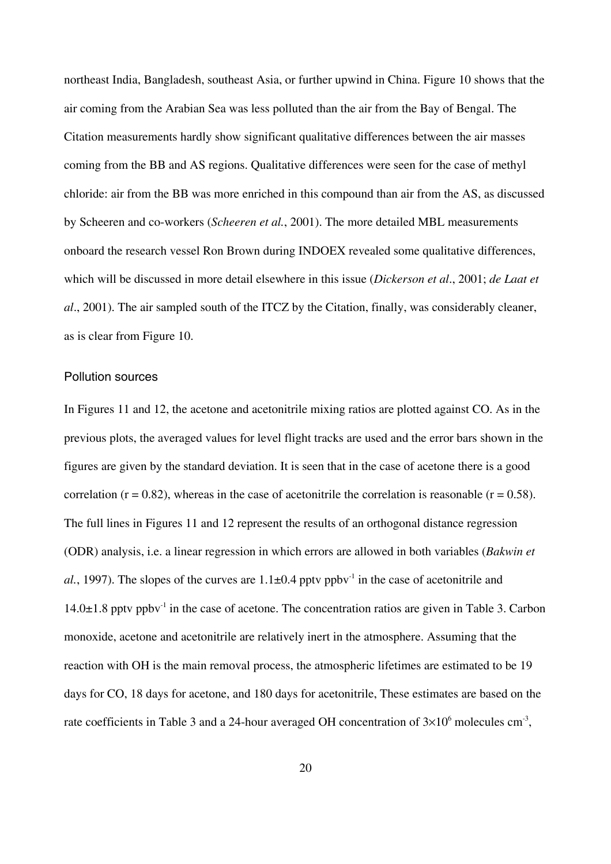northeast India, Bangladesh, southeast Asia, or further upwind in China. Figure 10 shows that the air coming from the Arabian Sea was less polluted than the air from the Bay of Bengal. The Citation measurements hardly show significant qualitative differences between the air masses coming from the BB and AS regions. Qualitative differences were seen for the case of methyl chloride: air from the BB was more enriched in this compound than air from the AS, as discussed by Scheeren and co-workers (*Scheeren et al.*, 2001). The more detailed MBL measurements onboard the research vessel Ron Brown during INDOEX revealed some qualitative differences, which will be discussed in more detail elsewhere in this issue (*Dickerson et al*., 2001; *de Laat et al*., 2001). The air sampled south of the ITCZ by the Citation, finally, was considerably cleaner, as is clear from Figure 10.

## Pollution sources

In Figures 11 and 12, the acetone and acetonitrile mixing ratios are plotted against CO. As in the previous plots, the averaged values for level flight tracks are used and the error bars shown in the figures are given by the standard deviation. It is seen that in the case of acetone there is a good correlation ( $r = 0.82$ ), whereas in the case of acetonitrile the correlation is reasonable ( $r = 0.58$ ). The full lines in Figures 11 and 12 represent the results of an orthogonal distance regression (ODR) analysis, i.e. a linear regression in which errors are allowed in both variables (*Bakwin et al.*, 1997). The slopes of the curves are  $1.1\pm0.4$  pptv ppbv<sup>-1</sup> in the case of acetonitrile and  $14.0\pm1.8$  pptv ppbv<sup>-1</sup> in the case of acetone. The concentration ratios are given in Table 3. Carbon monoxide, acetone and acetonitrile are relatively inert in the atmosphere. Assuming that the reaction with OH is the main removal process, the atmospheric lifetimes are estimated to be 19 days for CO, 18 days for acetone, and 180 days for acetonitrile, These estimates are based on the rate coefficients in Table 3 and a 24-hour averaged OH concentration of  $3\times10^6$  molecules cm<sup>-3</sup>,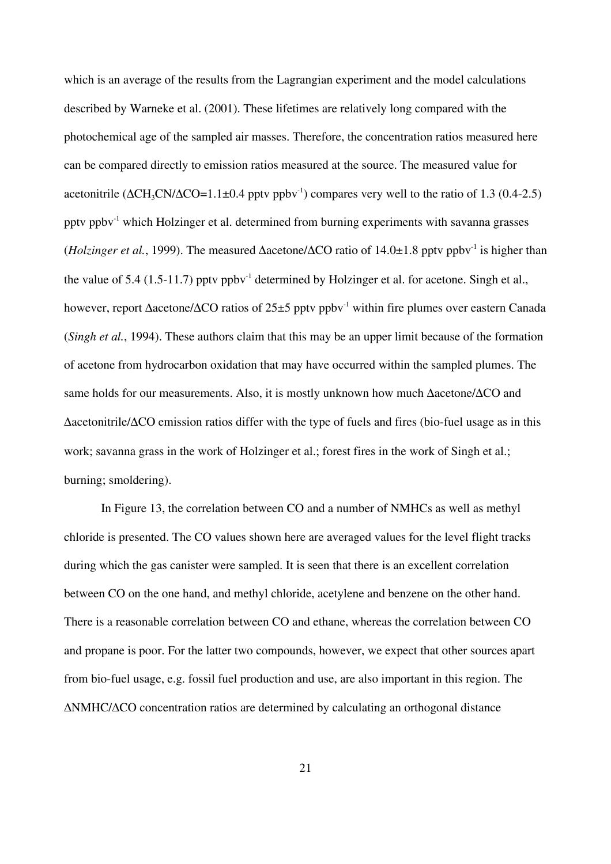which is an average of the results from the Lagrangian experiment and the model calculations described by Warneke et al. (2001). These lifetimes are relatively long compared with the photochemical age of the sampled air masses. Therefore, the concentration ratios measured here can be compared directly to emission ratios measured at the source. The measured value for acetonitrile ( $\Delta CH_3CN/\Delta CO=1.1\pm0.4$  pptv ppbv<sup>-1</sup>) compares very well to the ratio of 1.3 (0.4-2.5) pptv ppbv-1 which Holzinger et al. determined from burning experiments with savanna grasses (*Holzinger et al.*, 1999). The measured  $\triangle$ acetone/ $\triangle$ CO ratio of 14.0 $\pm$ 1.8 pptv ppbv<sup>-1</sup> is higher than the value of 5.4 (1.5-11.7) ppty ppby<sup>-1</sup> determined by Holzinger et al. for acetone. Singh et al., however, report Δacetone/ΔCO ratios of 25±5 pptv ppbv-1 within fire plumes over eastern Canada (*Singh et al.*, 1994). These authors claim that this may be an upper limit because of the formation of acetone from hydrocarbon oxidation that may have occurred within the sampled plumes. The same holds for our measurements. Also, it is mostly unknown how much Δacetone/ΔCO and Δacetonitrile/ΔCO emission ratios differ with the type of fuels and fires (bio-fuel usage as in this work; savanna grass in the work of Holzinger et al.; forest fires in the work of Singh et al.; burning; smoldering).

In Figure 13, the correlation between CO and a number of NMHCs as well as methyl chloride is presented. The CO values shown here are averaged values for the level flight tracks during which the gas canister were sampled. It is seen that there is an excellent correlation between CO on the one hand, and methyl chloride, acetylene and benzene on the other hand. There is a reasonable correlation between CO and ethane, whereas the correlation between CO and propane is poor. For the latter two compounds, however, we expect that other sources apart from bio-fuel usage, e.g. fossil fuel production and use, are also important in this region. The ΔNMHC/ΔCO concentration ratios are determined by calculating an orthogonal distance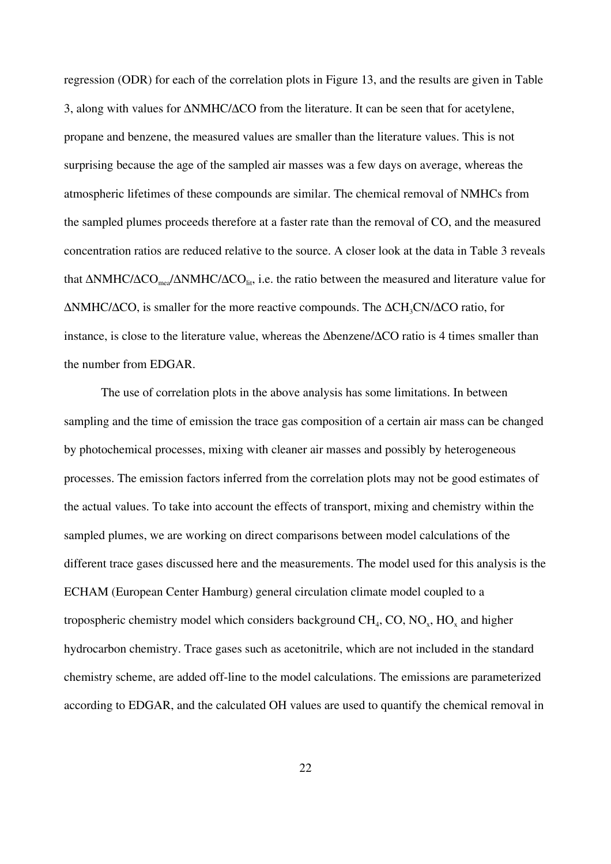regression (ODR) for each of the correlation plots in Figure 13, and the results are given in Table 3, along with values for ΔNMHC/ΔCO from the literature. It can be seen that for acetylene, propane and benzene, the measured values are smaller than the literature values. This is not surprising because the age of the sampled air masses was a few days on average, whereas the atmospheric lifetimes of these compounds are similar. The chemical removal of NMHCs from the sampled plumes proceeds therefore at a faster rate than the removal of CO, and the measured concentration ratios are reduced relative to the source. A closer look at the data in Table 3 reveals that  $\Delta NMHC/\Delta CO_{mea}/\Delta NMHC/\Delta CO_{lit}$ , i.e. the ratio between the measured and literature value for  $\Delta$ NMHC/ $\Delta$ CO, is smaller for the more reactive compounds. The  $\Delta$ CH<sub>3</sub>CN/ $\Delta$ CO ratio, for instance, is close to the literature value, whereas the Δbenzene/ΔCO ratio is 4 times smaller than the number from EDGAR.

The use of correlation plots in the above analysis has some limitations. In between sampling and the time of emission the trace gas composition of a certain air mass can be changed by photochemical processes, mixing with cleaner air masses and possibly by heterogeneous processes. The emission factors inferred from the correlation plots may not be good estimates of the actual values. To take into account the effects of transport, mixing and chemistry within the sampled plumes, we are working on direct comparisons between model calculations of the different trace gases discussed here and the measurements. The model used for this analysis is the ECHAM (European Center Hamburg) general circulation climate model coupled to a tropospheric chemistry model which considers background  $CH_4$ , CO, NO<sub>x</sub>, HO<sub>x</sub> and higher hydrocarbon chemistry. Trace gases such as acetonitrile, which are not included in the standard chemistry scheme, are added off-line to the model calculations. The emissions are parameterized according to EDGAR, and the calculated OH values are used to quantify the chemical removal in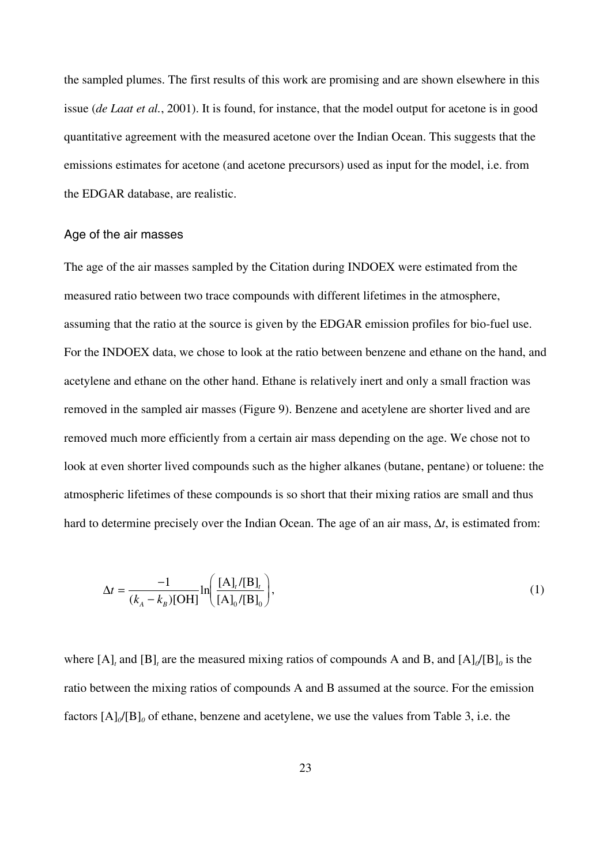the sampled plumes. The first results of this work are promising and are shown elsewhere in this issue (*de Laat et al.*, 2001). It is found, for instance, that the model output for acetone is in good quantitative agreement with the measured acetone over the Indian Ocean. This suggests that the emissions estimates for acetone (and acetone precursors) used as input for the model, i.e. from the EDGAR database, are realistic.

## Age of the air masses

The age of the air masses sampled by the Citation during INDOEX were estimated from the measured ratio between two trace compounds with different lifetimes in the atmosphere, assuming that the ratio at the source is given by the EDGAR emission profiles for bio-fuel use. For the INDOEX data, we chose to look at the ratio between benzene and ethane on the hand, and acetylene and ethane on the other hand. Ethane is relatively inert and only a small fraction was removed in the sampled air masses (Figure 9). Benzene and acetylene are shorter lived and are removed much more efficiently from a certain air mass depending on the age. We chose not to look at even shorter lived compounds such as the higher alkanes (butane, pentane) or toluene: the atmospheric lifetimes of these compounds is so short that their mixing ratios are small and thus hard to determine precisely over the Indian Ocean. The age of an air mass, Δ*t*, is estimated from:

$$
\Delta t = \frac{-1}{(k_A - k_B)[\text{OH}]} \ln \left( \frac{[\text{A}]_t / [\text{B}]_t}{[\text{A}]_0 / [\text{B}]_0} \right),\tag{1}
$$

where  $[A]_t$  and  $[B]_t$  are the measured mixing ratios of compounds A and B, and  $[A]_0/[B]_0$  is the ratio between the mixing ratios of compounds A and B assumed at the source. For the emission factors  $[A]_0/[B]_0$  of ethane, benzene and acetylene, we use the values from Table 3, i.e. the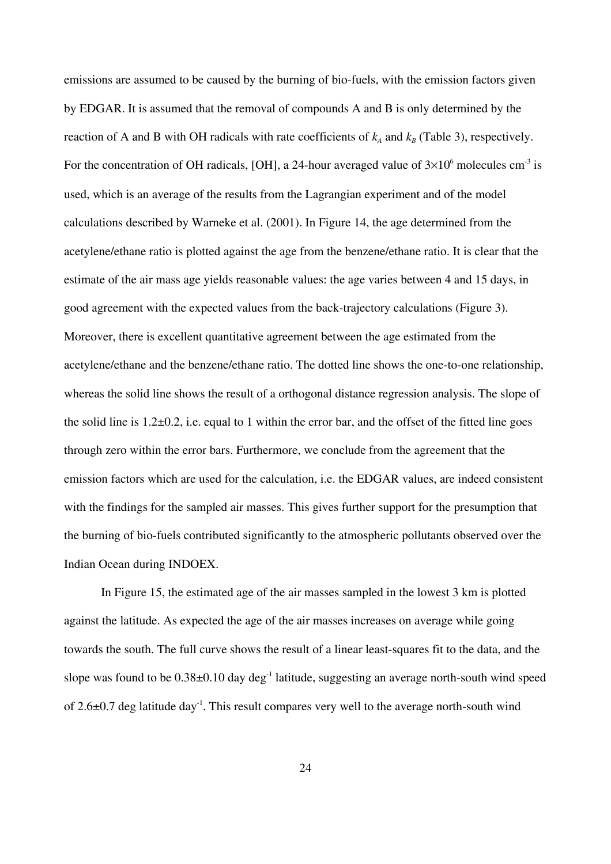emissions are assumed to be caused by the burning of bio-fuels, with the emission factors given by EDGAR. It is assumed that the removal of compounds A and B is only determined by the reaction of A and B with OH radicals with rate coefficients of  $k_A$  and  $k_B$  (Table 3), respectively. For the concentration of OH radicals, [OH], a 24-hour averaged value of  $3\times10^6$  molecules cm<sup>-3</sup> is used, which is an average of the results from the Lagrangian experiment and of the model calculations described by Warneke et al. (2001). In Figure 14, the age determined from the acetylene/ethane ratio is plotted against the age from the benzene/ethane ratio. It is clear that the estimate of the air mass age yields reasonable values: the age varies between 4 and 15 days, in good agreement with the expected values from the back-trajectory calculations (Figure 3). Moreover, there is excellent quantitative agreement between the age estimated from the acetylene/ethane and the benzene/ethane ratio. The dotted line shows the one-to-one relationship, whereas the solid line shows the result of a orthogonal distance regression analysis. The slope of the solid line is  $1.2\pm 0.2$ , i.e. equal to 1 within the error bar, and the offset of the fitted line goes through zero within the error bars. Furthermore, we conclude from the agreement that the emission factors which are used for the calculation, i.e. the EDGAR values, are indeed consistent with the findings for the sampled air masses. This gives further support for the presumption that the burning of bio-fuels contributed significantly to the atmospheric pollutants observed over the Indian Ocean during INDOEX.

In Figure 15, the estimated age of the air masses sampled in the lowest 3 km is plotted against the latitude. As expected the age of the air masses increases on average while going towards the south. The full curve shows the result of a linear least-squares fit to the data, and the slope was found to be  $0.38\pm0.10$  day deg<sup>-1</sup> latitude, suggesting an average north-south wind speed of  $2.6\pm0.7$  deg latitude day<sup>-1</sup>. This result compares very well to the average north-south wind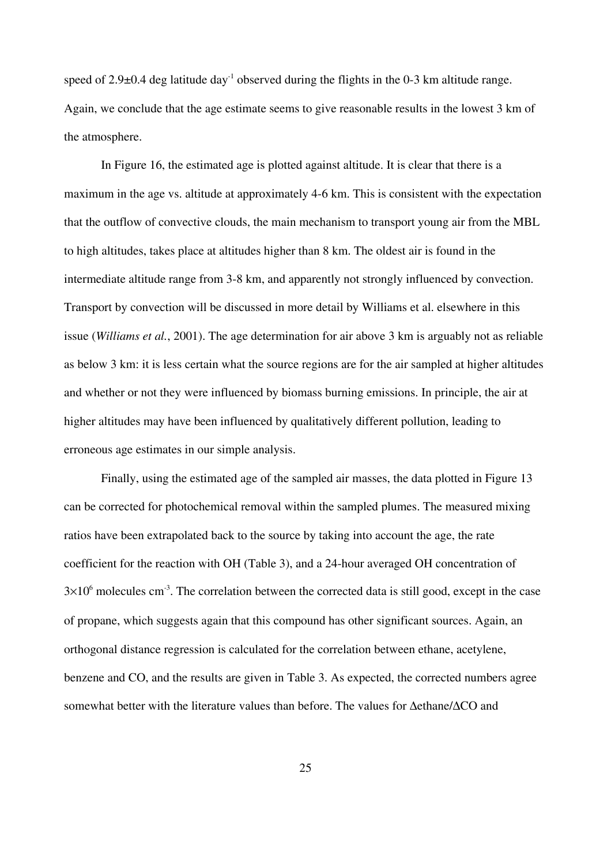speed of  $2.9\pm0.4$  deg latitude day<sup>-1</sup> observed during the flights in the 0-3 km altitude range. Again, we conclude that the age estimate seems to give reasonable results in the lowest 3 km of the atmosphere.

In Figure 16, the estimated age is plotted against altitude. It is clear that there is a maximum in the age vs. altitude at approximately 4-6 km. This is consistent with the expectation that the outflow of convective clouds, the main mechanism to transport young air from the MBL to high altitudes, takes place at altitudes higher than 8 km. The oldest air is found in the intermediate altitude range from 3-8 km, and apparently not strongly influenced by convection. Transport by convection will be discussed in more detail by Williams et al. elsewhere in this issue (*Williams et al.*, 2001). The age determination for air above 3 km is arguably not as reliable as below 3 km: it is less certain what the source regions are for the air sampled at higher altitudes and whether or not they were influenced by biomass burning emissions. In principle, the air at higher altitudes may have been influenced by qualitatively different pollution, leading to erroneous age estimates in our simple analysis.

Finally, using the estimated age of the sampled air masses, the data plotted in Figure 13 can be corrected for photochemical removal within the sampled plumes. The measured mixing ratios have been extrapolated back to the source by taking into account the age, the rate coefficient for the reaction with OH (Table 3), and a 24-hour averaged OH concentration of  $3\times10^6$  molecules cm<sup>-3</sup>. The correlation between the corrected data is still good, except in the case of propane, which suggests again that this compound has other significant sources. Again, an orthogonal distance regression is calculated for the correlation between ethane, acetylene, benzene and CO, and the results are given in Table 3. As expected, the corrected numbers agree somewhat better with the literature values than before. The values for Δethane/ΔCO and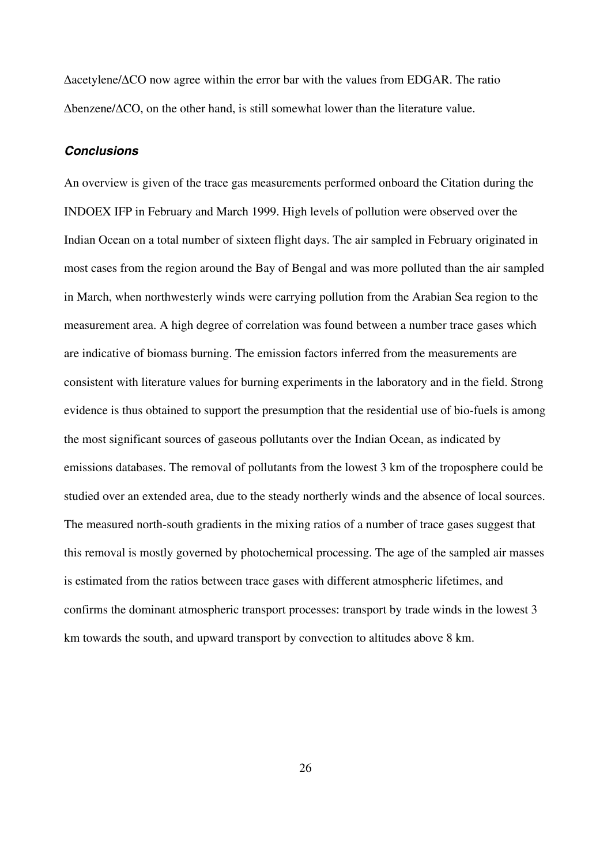Δacetylene/ΔCO now agree within the error bar with the values from EDGAR. The ratio Δbenzene/ΔCO, on the other hand, is still somewhat lower than the literature value.

## *Conclusions*

An overview is given of the trace gas measurements performed onboard the Citation during the INDOEX IFP in February and March 1999. High levels of pollution were observed over the Indian Ocean on a total number of sixteen flight days. The air sampled in February originated in most cases from the region around the Bay of Bengal and was more polluted than the air sampled in March, when northwesterly winds were carrying pollution from the Arabian Sea region to the measurement area. A high degree of correlation was found between a number trace gases which are indicative of biomass burning. The emission factors inferred from the measurements are consistent with literature values for burning experiments in the laboratory and in the field. Strong evidence is thus obtained to support the presumption that the residential use of bio-fuels is among the most significant sources of gaseous pollutants over the Indian Ocean, as indicated by emissions databases. The removal of pollutants from the lowest 3 km of the troposphere could be studied over an extended area, due to the steady northerly winds and the absence of local sources. The measured north-south gradients in the mixing ratios of a number of trace gases suggest that this removal is mostly governed by photochemical processing. The age of the sampled air masses is estimated from the ratios between trace gases with different atmospheric lifetimes, and confirms the dominant atmospheric transport processes: transport by trade winds in the lowest 3 km towards the south, and upward transport by convection to altitudes above 8 km.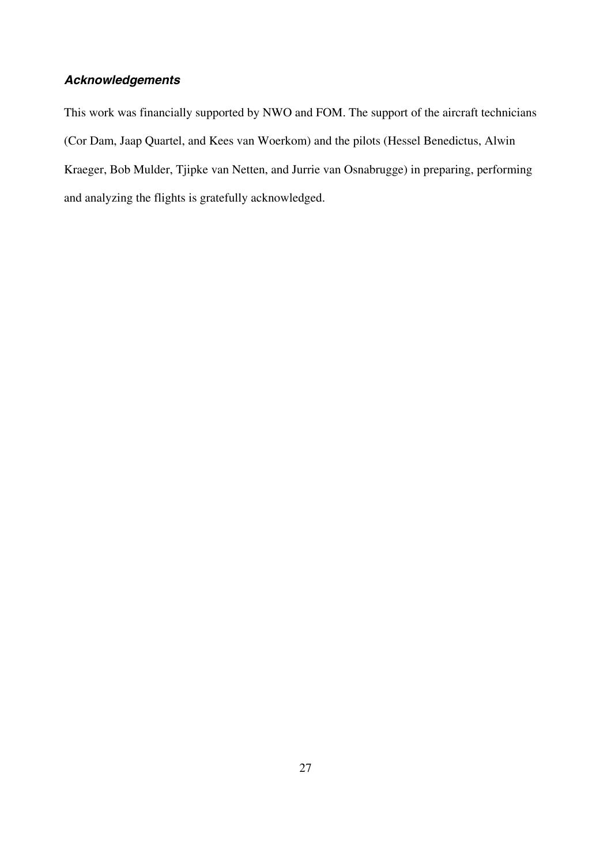## *Acknowledgements*

This work was financially supported by NWO and FOM. The support of the aircraft technicians (Cor Dam, Jaap Quartel, and Kees van Woerkom) and the pilots (Hessel Benedictus, Alwin Kraeger, Bob Mulder, Tjipke van Netten, and Jurrie van Osnabrugge) in preparing, performing and analyzing the flights is gratefully acknowledged.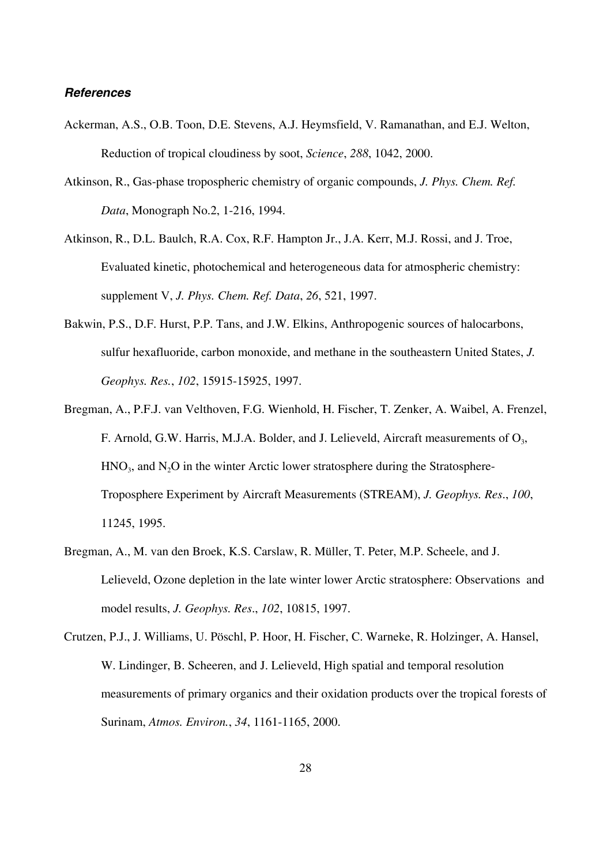## *References*

- Ackerman, A.S., O.B. Toon, D.E. Stevens, A.J. Heymsfield, V. Ramanathan, and E.J. Welton, Reduction of tropical cloudiness by soot, *Science*, *288*, 1042, 2000.
- Atkinson, R., Gas-phase tropospheric chemistry of organic compounds, *J. Phys. Chem. Ref. Data*, Monograph No.2, 1-216, 1994.
- Atkinson, R., D.L. Baulch, R.A. Cox, R.F. Hampton Jr., J.A. Kerr, M.J. Rossi, and J. Troe, Evaluated kinetic, photochemical and heterogeneous data for atmospheric chemistry: supplement V, *J. Phys. Chem. Ref. Data*, *26*, 521, 1997.
- Bakwin, P.S., D.F. Hurst, P.P. Tans, and J.W. Elkins, Anthropogenic sources of halocarbons, sulfur hexafluoride, carbon monoxide, and methane in the southeastern United States, *J. Geophys. Res.*, *102*, 15915-15925, 1997.
- Bregman, A., P.F.J. van Velthoven, F.G. Wienhold, H. Fischer, T. Zenker, A. Waibel, A. Frenzel, F. Arnold, G.W. Harris, M.J.A. Bolder, and J. Lelieveld, Aircraft measurements of  $O_3$ ,  $HNO<sub>3</sub>$ , and  $N<sub>2</sub>O$  in the winter Arctic lower stratosphere during the Stratosphere-Troposphere Experiment by Aircraft Measurements (STREAM), *J. Geophys. Res*., *100*, 11245, 1995.
- Bregman, A., M. van den Broek, K.S. Carslaw, R. Müller, T. Peter, M.P. Scheele, and J. Lelieveld, Ozone depletion in the late winter lower Arctic stratosphere: Observations and model results, *J. Geophys. Res*., *102*, 10815, 1997.
- Crutzen, P.J., J. Williams, U. Pöschl, P. Hoor, H. Fischer, C. Warneke, R. Holzinger, A. Hansel, W. Lindinger, B. Scheeren, and J. Lelieveld, High spatial and temporal resolution measurements of primary organics and their oxidation products over the tropical forests of Surinam, *Atmos. Environ.*, *34*, 1161-1165, 2000.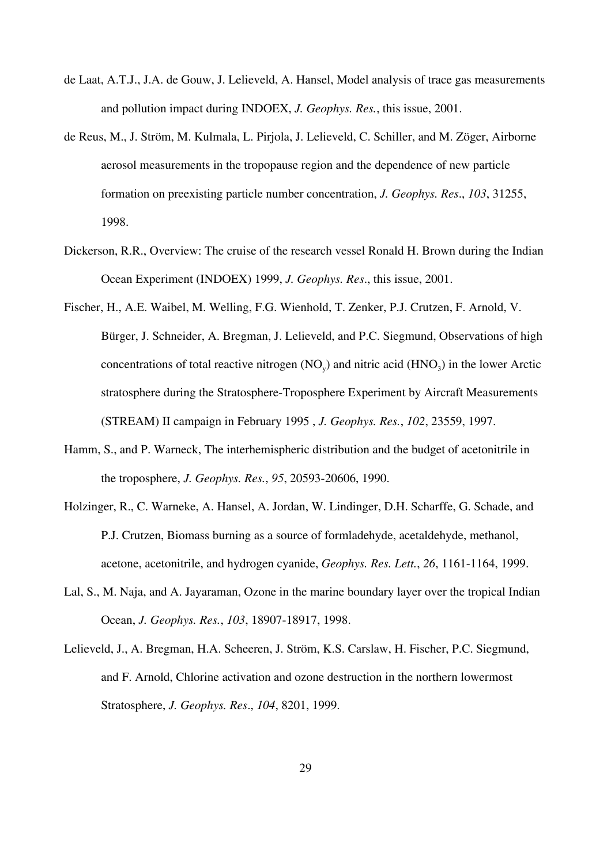- de Laat, A.T.J., J.A. de Gouw, J. Lelieveld, A. Hansel, Model analysis of trace gas measurements and pollution impact during INDOEX, *J. Geophys. Res.*, this issue, 2001.
- de Reus, M., J. Ström, M. Kulmala, L. Pirjola, J. Lelieveld, C. Schiller, and M. Zöger, Airborne aerosol measurements in the tropopause region and the dependence of new particle formation on preexisting particle number concentration, *J. Geophys. Res*., *103*, 31255, 1998.
- Dickerson, R.R., Overview: The cruise of the research vessel Ronald H. Brown during the Indian Ocean Experiment (INDOEX) 1999, *J. Geophys. Res*., this issue, 2001.
- Fischer, H., A.E. Waibel, M. Welling, F.G. Wienhold, T. Zenker, P.J. Crutzen, F. Arnold, V. Bürger, J. Schneider, A. Bregman, J. Lelieveld, and P.C. Siegmund, Observations of high concentrations of total reactive nitrogen  $(NO<sub>v</sub>)$  and nitric acid  $(HNO<sub>3</sub>)$  in the lower Arctic stratosphere during the Stratosphere-Troposphere Experiment by Aircraft Measurements (STREAM) II campaign in February 1995 , *J. Geophys. Res.*, *102*, 23559, 1997.
- Hamm, S., and P. Warneck, The interhemispheric distribution and the budget of acetonitrile in the troposphere, *J. Geophys. Res.*, *95*, 20593-20606, 1990.
- Holzinger, R., C. Warneke, A. Hansel, A. Jordan, W. Lindinger, D.H. Scharffe, G. Schade, and P.J. Crutzen, Biomass burning as a source of formladehyde, acetaldehyde, methanol, acetone, acetonitrile, and hydrogen cyanide, *Geophys. Res. Lett.*, *26*, 1161-1164, 1999.
- Lal, S., M. Naja, and A. Jayaraman, Ozone in the marine boundary layer over the tropical Indian Ocean, *J. Geophys. Res.*, *103*, 18907-18917, 1998.
- Lelieveld, J., A. Bregman, H.A. Scheeren, J. Ström, K.S. Carslaw, H. Fischer, P.C. Siegmund, and F. Arnold, Chlorine activation and ozone destruction in the northern lowermost Stratosphere, *J. Geophys. Res*., *104*, 8201, 1999.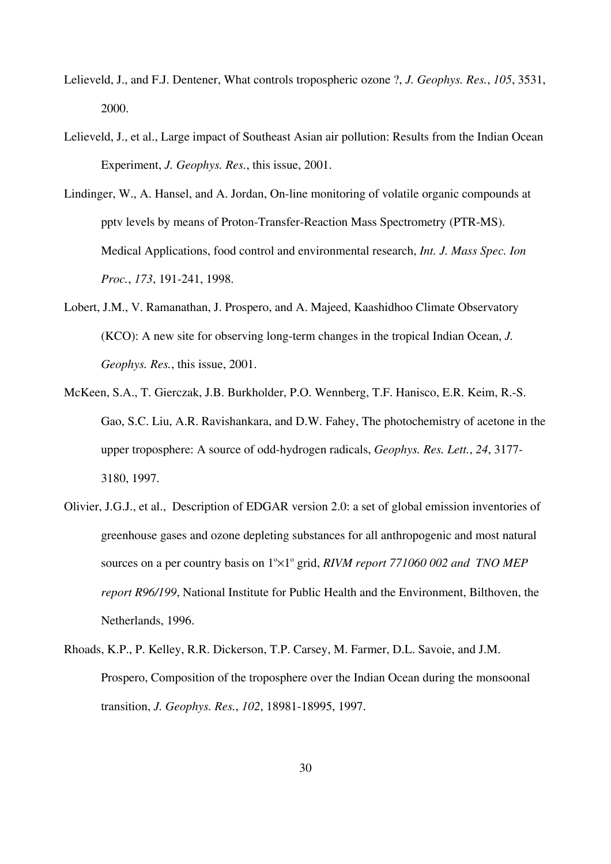- Lelieveld, J., and F.J. Dentener, What controls tropospheric ozone ?, *J. Geophys. Res.*, *105*, 3531, 2000.
- Lelieveld, J., et al., Large impact of Southeast Asian air pollution: Results from the Indian Ocean Experiment, *J. Geophys. Res.*, this issue, 2001.
- Lindinger, W., A. Hansel, and A. Jordan, On-line monitoring of volatile organic compounds at pptv levels by means of Proton-Transfer-Reaction Mass Spectrometry (PTR-MS). Medical Applications, food control and environmental research, *Int. J. Mass Spec. Ion Proc.*, *173*, 191-241, 1998.
- Lobert, J.M., V. Ramanathan, J. Prospero, and A. Majeed, Kaashidhoo Climate Observatory (KCO): A new site for observing long-term changes in the tropical Indian Ocean, *J. Geophys. Res.*, this issue, 2001.
- McKeen, S.A., T. Gierczak, J.B. Burkholder, P.O. Wennberg, T.F. Hanisco, E.R. Keim, R.-S. Gao, S.C. Liu, A.R. Ravishankara, and D.W. Fahey, The photochemistry of acetone in the upper troposphere: A source of odd-hydrogen radicals, *Geophys. Res. Lett.*, *24*, 3177- 3180, 1997.
- Olivier, J.G.J., et al., Description of EDGAR version 2.0: a set of global emission inventories of greenhouse gases and ozone depleting substances for all anthropogenic and most natural sources on a per country basis on  $1^{\circ}\times1^{\circ}$  grid, *RIVM report 771060 002 and TNO MEP report R96/199*, National Institute for Public Health and the Environment, Bilthoven, the Netherlands, 1996.
- Rhoads, K.P., P. Kelley, R.R. Dickerson, T.P. Carsey, M. Farmer, D.L. Savoie, and J.M. Prospero, Composition of the troposphere over the Indian Ocean during the monsoonal transition, *J. Geophys. Res.*, *102*, 18981-18995, 1997.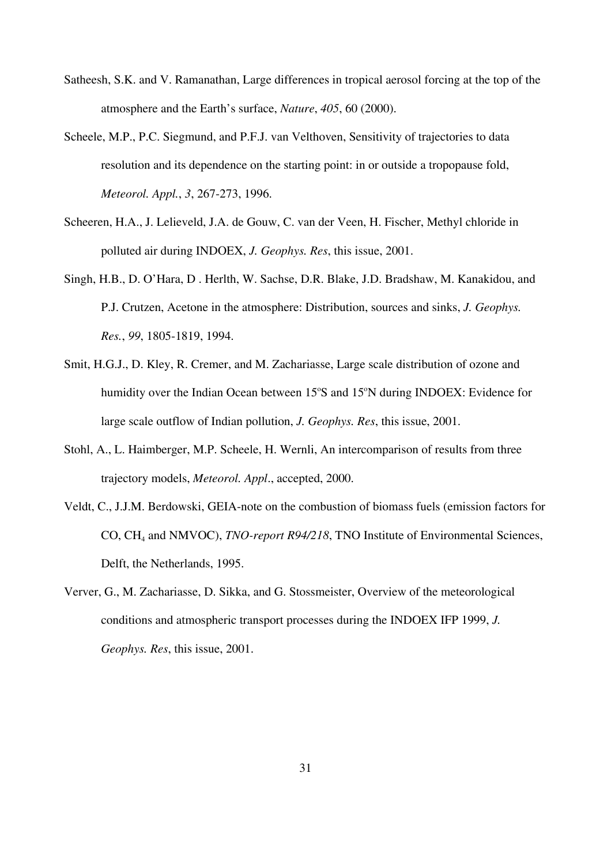- Satheesh, S.K. and V. Ramanathan, Large differences in tropical aerosol forcing at the top of the atmosphere and the Earth's surface, *Nature*, *405*, 60 (2000).
- Scheele, M.P., P.C. Siegmund, and P.F.J. van Velthoven, Sensitivity of trajectories to data resolution and its dependence on the starting point: in or outside a tropopause fold, *Meteorol. Appl.*, *3*, 267-273, 1996.
- Scheeren, H.A., J. Lelieveld, J.A. de Gouw, C. van der Veen, H. Fischer, Methyl chloride in polluted air during INDOEX, *J. Geophys. Res*, this issue, 2001.
- Singh, H.B., D. O'Hara, D . Herlth, W. Sachse, D.R. Blake, J.D. Bradshaw, M. Kanakidou, and P.J. Crutzen, Acetone in the atmosphere: Distribution, sources and sinks, *J. Geophys. Res.*, *99*, 1805-1819, 1994.
- Smit, H.G.J., D. Kley, R. Cremer, and M. Zachariasse, Large scale distribution of ozone and humidity over the Indian Ocean between 15°S and 15°N during INDOEX: Evidence for large scale outflow of Indian pollution, *J. Geophys. Res*, this issue, 2001.
- Stohl, A., L. Haimberger, M.P. Scheele, H. Wernli, An intercomparison of results from three trajectory models, *Meteorol. Appl*., accepted, 2000.
- Veldt, C., J.J.M. Berdowski, GEIA-note on the combustion of biomass fuels (emission factors for CO, CH4 and NMVOC), *TNO-report R94/218*, TNO Institute of Environmental Sciences, Delft, the Netherlands, 1995.
- Verver, G., M. Zachariasse, D. Sikka, and G. Stossmeister, Overview of the meteorological conditions and atmospheric transport processes during the INDOEX IFP 1999, *J. Geophys. Res*, this issue, 2001.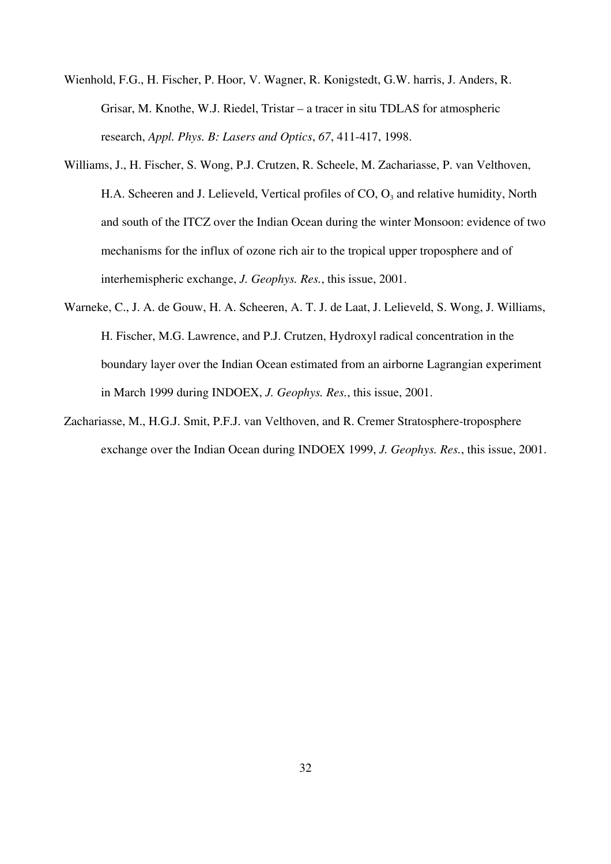- Wienhold, F.G., H. Fischer, P. Hoor, V. Wagner, R. Konigstedt, G.W. harris, J. Anders, R. Grisar, M. Knothe, W.J. Riedel, Tristar – a tracer in situ TDLAS for atmospheric research, *Appl. Phys. B: Lasers and Optics*, *67*, 411-417, 1998.
- Williams, J., H. Fischer, S. Wong, P.J. Crutzen, R. Scheele, M. Zachariasse, P. van Velthoven, H.A. Scheeren and J. Lelieveld, Vertical profiles of  $CO$ ,  $O_3$  and relative humidity, North and south of the ITCZ over the Indian Ocean during the winter Monsoon: evidence of two mechanisms for the influx of ozone rich air to the tropical upper troposphere and of interhemispheric exchange, *J. Geophys. Res.*, this issue, 2001.
- Warneke, C., J. A. de Gouw, H. A. Scheeren, A. T. J. de Laat, J. Lelieveld, S. Wong, J. Williams, H. Fischer, M.G. Lawrence, and P.J. Crutzen, Hydroxyl radical concentration in the boundary layer over the Indian Ocean estimated from an airborne Lagrangian experiment in March 1999 during INDOEX, *J. Geophys. Res.*, this issue, 2001.
- Zachariasse, M., H.G.J. Smit, P.F.J. van Velthoven, and R. Cremer Stratosphere-troposphere exchange over the Indian Ocean during INDOEX 1999, *J. Geophys. Res.*, this issue, 2001.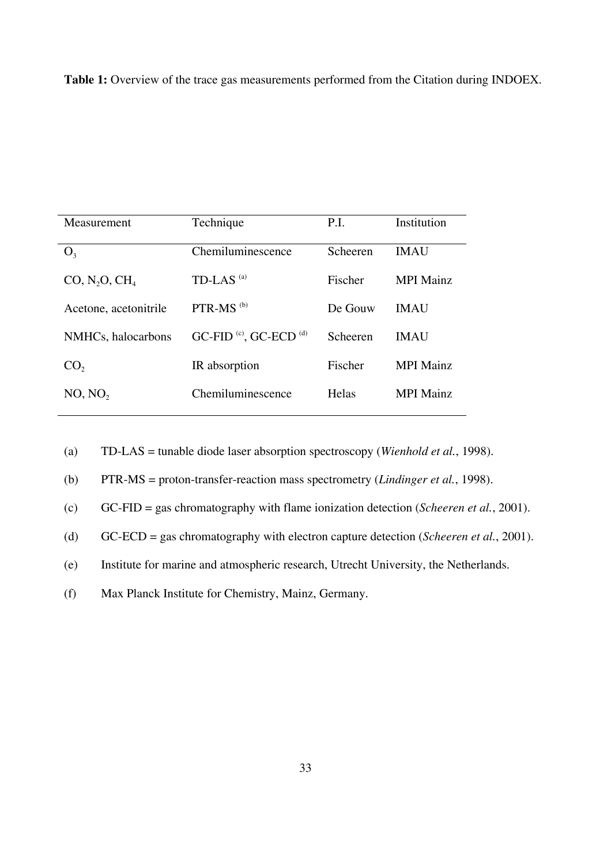**Table 1:** Overview of the trace gas measurements performed from the Citation during INDOEX.

| Measurement               | Technique                                     | P.I.         | Institution      |
|---------------------------|-----------------------------------------------|--------------|------------------|
| $O_3$                     | Chemiluminescence                             | Scheeren     | <b>IMAU</b>      |
| CO, N, O, CH <sub>4</sub> | TD-LAS $^{(a)}$                               | Fischer      | <b>MPI Mainz</b> |
| Acetone, acetonitrile     | $PTR-MS$ <sup>(b)</sup>                       | De Gouw      | <b>IMAU</b>      |
| NMHCs, halocarbons        | GC-FID <sup>(c)</sup> , GC-ECD <sup>(d)</sup> | Scheeren     | <b>IMAU</b>      |
| CO <sub>2</sub>           | IR absorption                                 | Fischer      | <b>MPI</b> Mainz |
| NO, NO,                   | Chemiluminescence                             | <b>Helas</b> | <b>MPI</b> Mainz |

(a) TD-LAS = tunable diode laser absorption spectroscopy (*Wienhold et al.*, 1998).

(b) PTR-MS = proton-transfer-reaction mass spectrometry (*Lindinger et al.*, 1998).

(c) GC-FID = gas chromatography with flame ionization detection (*Scheeren et al.*, 2001).

(d) GC-ECD = gas chromatography with electron capture detection (*Scheeren et al.*, 2001).

(e) Institute for marine and atmospheric research, Utrecht University, the Netherlands.

(f) Max Planck Institute for Chemistry, Mainz, Germany.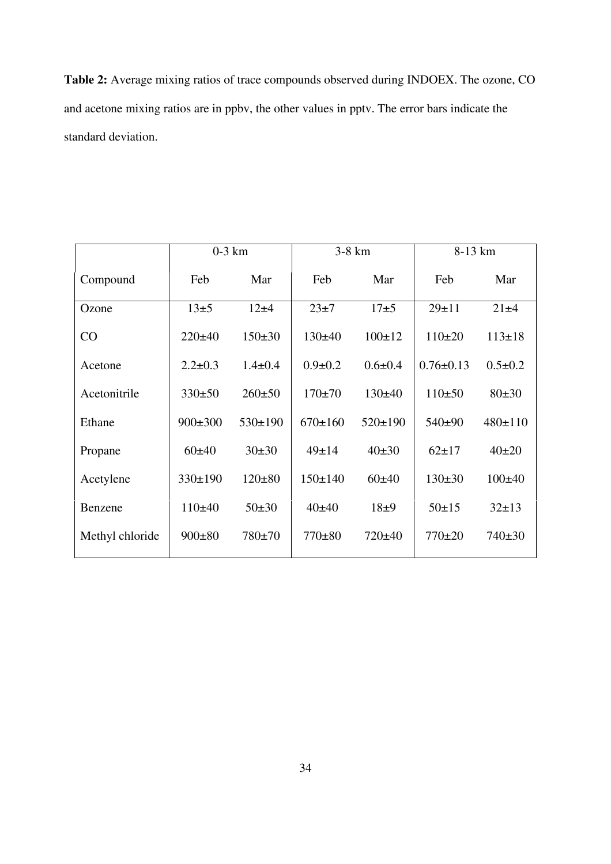**Table 2:** Average mixing ratios of trace compounds observed during INDOEX. The ozone, CO and acetone mixing ratios are in ppbv, the other values in pptv. The error bars indicate the standard deviation.

|                 | $0-3$ km      |               | 3-8 km        |               | 8-13 km         |               |
|-----------------|---------------|---------------|---------------|---------------|-----------------|---------------|
| Compound        | Feb           | Mar           | Feb           | Mar           | Feb             | Mar           |
| Ozone           | $13\pm 5$     | $12 + 4$      | $23\pm7$      | $17\pm 5$     | $29 + 11$       | $21\pm4$      |
| CO              | $220 \pm 40$  | $150 \pm 30$  | $130 + 40$    | $100 \pm 12$  | $110\pm 20$     | $113 \pm 18$  |
| Acetone         | $2.2 \pm 0.3$ | $1.4 \pm 0.4$ | $0.9 \pm 0.2$ | $0.6 \pm 0.4$ | $0.76 \pm 0.13$ | $0.5 \pm 0.2$ |
| Acetonitrile    | 330±50        | $260 \pm 50$  | $170 \pm 70$  | 130±40        | $110+50$        | 80±30         |
| Ethane          | $900 \pm 300$ | $530 \pm 190$ | $670 \pm 160$ | $520 \pm 190$ | $540+90$        | 480±110       |
| Propane         | 60±40         | $30 \pm 30$   | $49 \pm 14$   | 40±30         | $62+17$         | $40+20$       |
| Acetylene       | 330±190       | $120 \pm 80$  | $150 \pm 140$ | 60±40         | $130\pm30$      | $100 \pm 40$  |
| Benzene         | 110±40        | $50+30$       | 40±40         | $18\pm9$      | $50+15$         | $32 \pm 13$   |
| Methyl chloride | $900 \pm 80$  | 780±70        | $770 \pm 80$  | $720 \pm 40$  | $770 \pm 20$    | $740 \pm 30$  |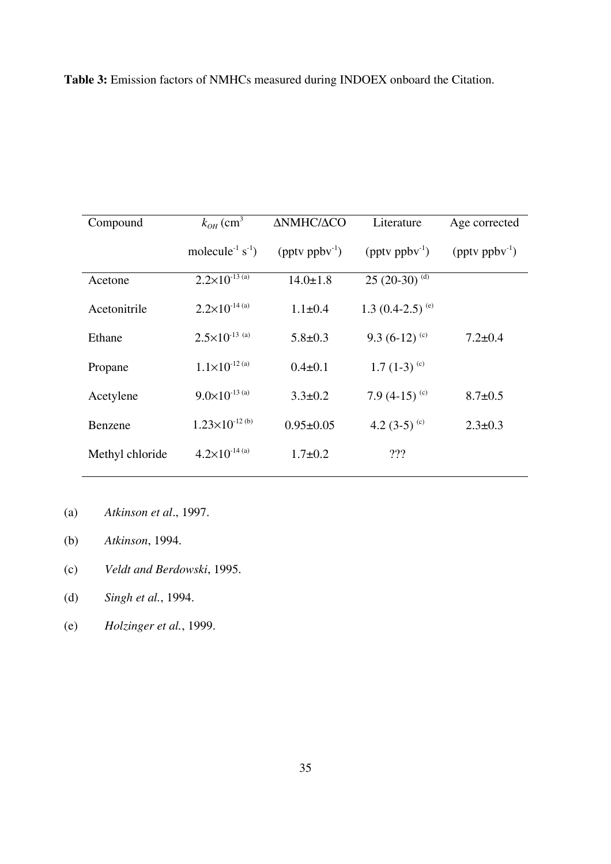**Table 3:** Emission factors of NMHCs measured during INDOEX onboard the Citation.

| Compound        | $k_{OH}$ (cm <sup>3</sup>         | ΔΝΜΗΣ/ΔΟΟ                         | Literature                        | Age corrected                    |
|-----------------|-----------------------------------|-----------------------------------|-----------------------------------|----------------------------------|
|                 | molecule <sup>-1</sup> $s^{-1}$ ) | $(\text{pptv } \text{ppbv}^{-1})$ | $(\text{pptv } \text{ppbv}^{-1})$ | $(\text{ptv } \text{ppbv}^{-1})$ |
| Acetone         | $2.2\times10^{-13}$ (a)           | $14.0 \pm 1.8$                    | 25 (20-30) $^{(d)}$               |                                  |
| Acetonitrile    | $2.2\times10^{-14}$ (a)           | $1.1 \pm 0.4$                     | 1.3 $(0.4-2.5)$ <sup>(e)</sup>    |                                  |
| Ethane          | $2.5 \times 10^{-13}$ (a)         | $5.8 \pm 0.3$                     | 9.3 $(6-12)^{c}$                  | $7.2 \pm 0.4$                    |
| Propane         | $1.1\times10^{-12}$ (a)           | $0.4 \pm 0.1$                     | 1.7 $(1-3)^{(c)}$                 |                                  |
| Acetylene       | $9.0\times10^{-13}$ (a)           | $3.3 \pm 0.2$                     | 7.9 $(4-15)$ <sup>(c)</sup>       | $8.7 \pm 0.5$                    |
| Benzene         | $1.23\times10^{-12}$ (b)          | $0.95 \pm 0.05$                   | 4.2 $(3-5)$ <sup>(c)</sup>        | $2.3 \pm 0.3$                    |
| Methyl chloride | $4.2\times10^{-14}$ (a)           | $1.7 \pm 0.2$                     | 222                               |                                  |

- (a) *Atkinson et al*., 1997.
- (b) *Atkinson*, 1994.
- (c) *Veldt and Berdowski*, 1995.
- (d) *Singh et al.*, 1994.
- (e) *Holzinger et al.*, 1999.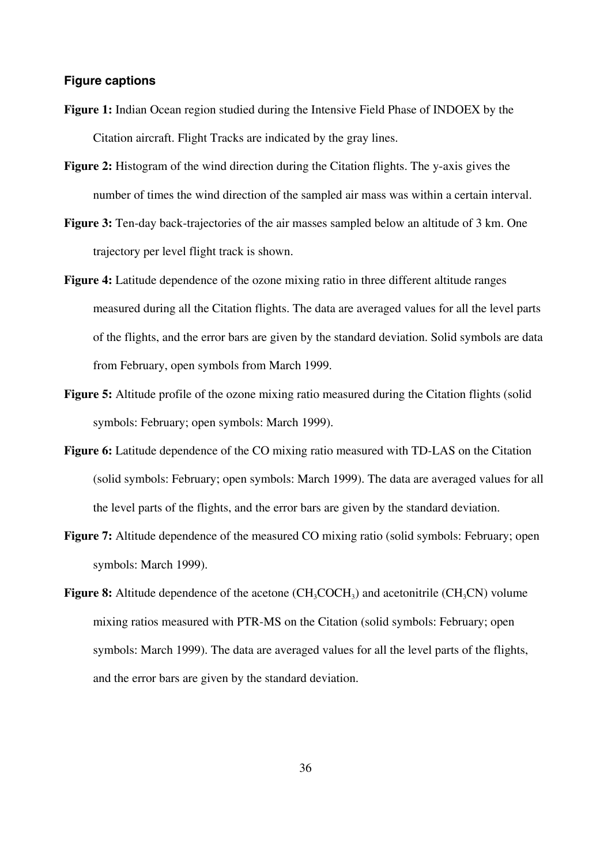### **Figure captions**

- **Figure 1:** Indian Ocean region studied during the Intensive Field Phase of INDOEX by the Citation aircraft. Flight Tracks are indicated by the gray lines.
- **Figure 2:** Histogram of the wind direction during the Citation flights. The y-axis gives the number of times the wind direction of the sampled air mass was within a certain interval.
- **Figure 3:** Ten-day back-trajectories of the air masses sampled below an altitude of 3 km. One trajectory per level flight track is shown.
- **Figure 4:** Latitude dependence of the ozone mixing ratio in three different altitude ranges measured during all the Citation flights. The data are averaged values for all the level parts of the flights, and the error bars are given by the standard deviation. Solid symbols are data from February, open symbols from March 1999.
- **Figure 5:** Altitude profile of the ozone mixing ratio measured during the Citation flights (solid symbols: February; open symbols: March 1999).
- **Figure 6:** Latitude dependence of the CO mixing ratio measured with TD-LAS on the Citation (solid symbols: February; open symbols: March 1999). The data are averaged values for all the level parts of the flights, and the error bars are given by the standard deviation.
- **Figure 7:** Altitude dependence of the measured CO mixing ratio (solid symbols: February; open symbols: March 1999).
- **Figure 8:** Altitude dependence of the acetone (CH<sub>3</sub>COCH<sub>3</sub>) and acetonitrile (CH<sub>3</sub>CN) volume mixing ratios measured with PTR-MS on the Citation (solid symbols: February; open symbols: March 1999). The data are averaged values for all the level parts of the flights, and the error bars are given by the standard deviation.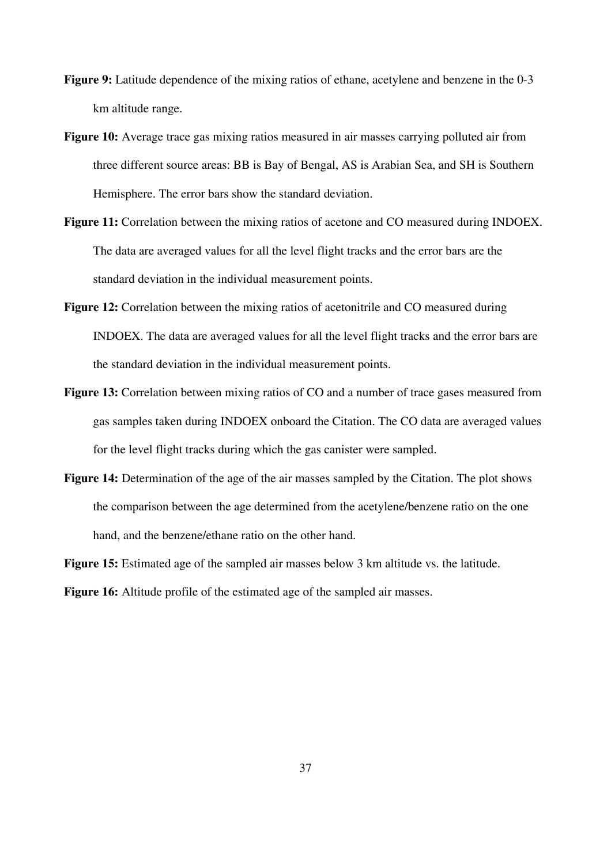- **Figure 9:** Latitude dependence of the mixing ratios of ethane, acetylene and benzene in the 0-3 km altitude range.
- **Figure 10:** Average trace gas mixing ratios measured in air masses carrying polluted air from three different source areas: BB is Bay of Bengal, AS is Arabian Sea, and SH is Southern Hemisphere. The error bars show the standard deviation.
- **Figure 11:** Correlation between the mixing ratios of acetone and CO measured during INDOEX. The data are averaged values for all the level flight tracks and the error bars are the standard deviation in the individual measurement points.
- **Figure 12:** Correlation between the mixing ratios of acetonitrile and CO measured during INDOEX. The data are averaged values for all the level flight tracks and the error bars are the standard deviation in the individual measurement points.
- **Figure 13:** Correlation between mixing ratios of CO and a number of trace gases measured from gas samples taken during INDOEX onboard the Citation. The CO data are averaged values for the level flight tracks during which the gas canister were sampled.
- **Figure 14:** Determination of the age of the air masses sampled by the Citation. The plot shows the comparison between the age determined from the acetylene/benzene ratio on the one hand, and the benzene/ethane ratio on the other hand.
- **Figure 15:** Estimated age of the sampled air masses below 3 km altitude vs. the latitude.

**Figure 16:** Altitude profile of the estimated age of the sampled air masses.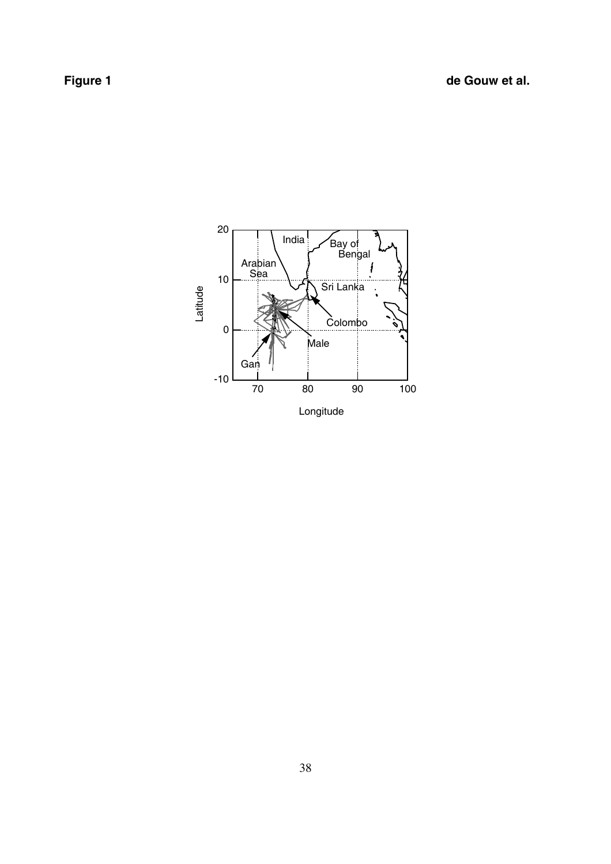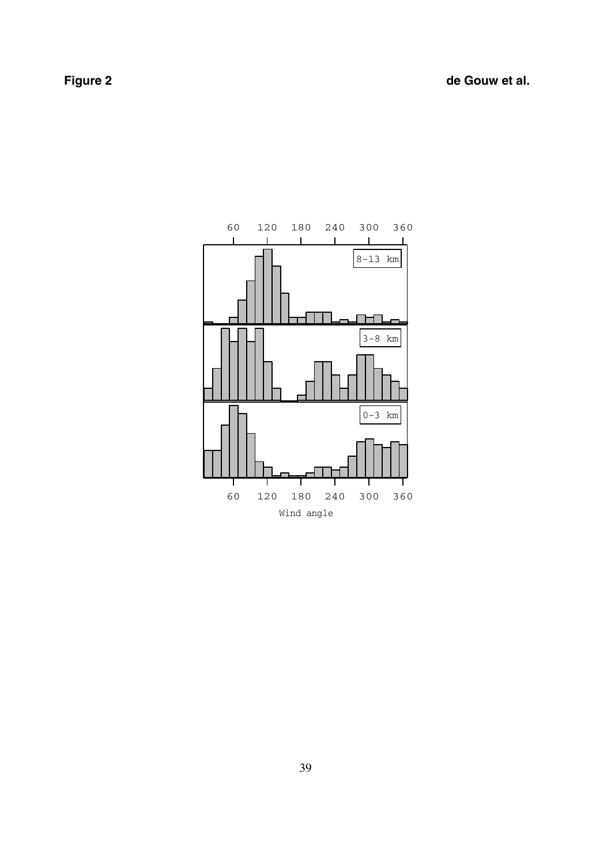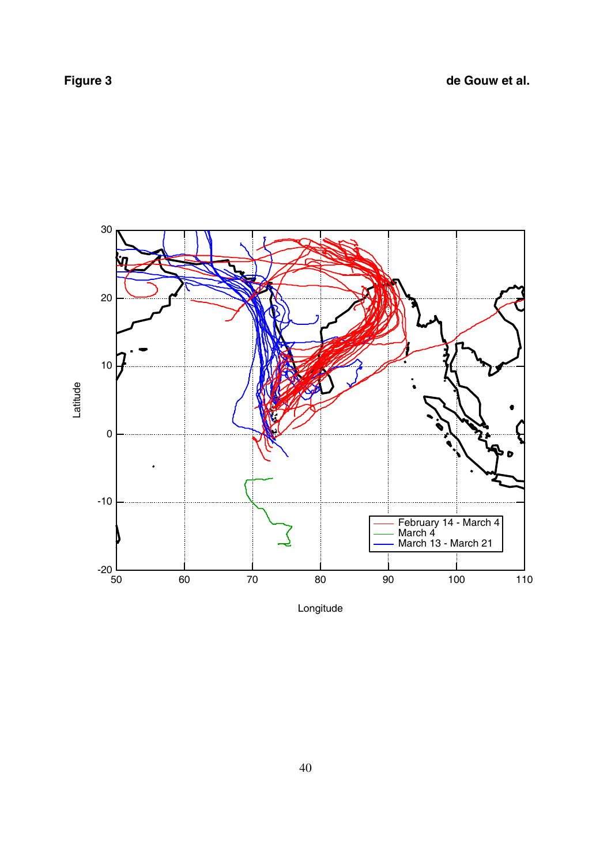

Longitude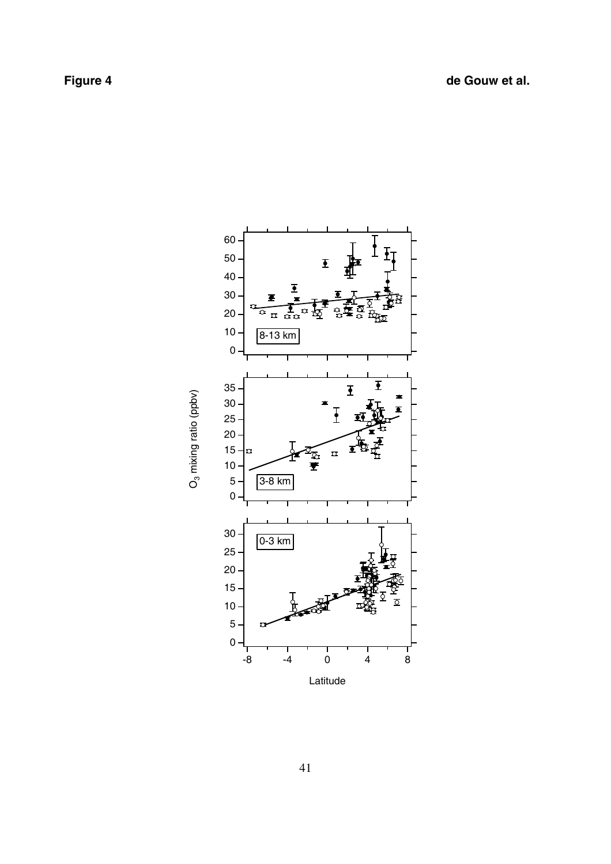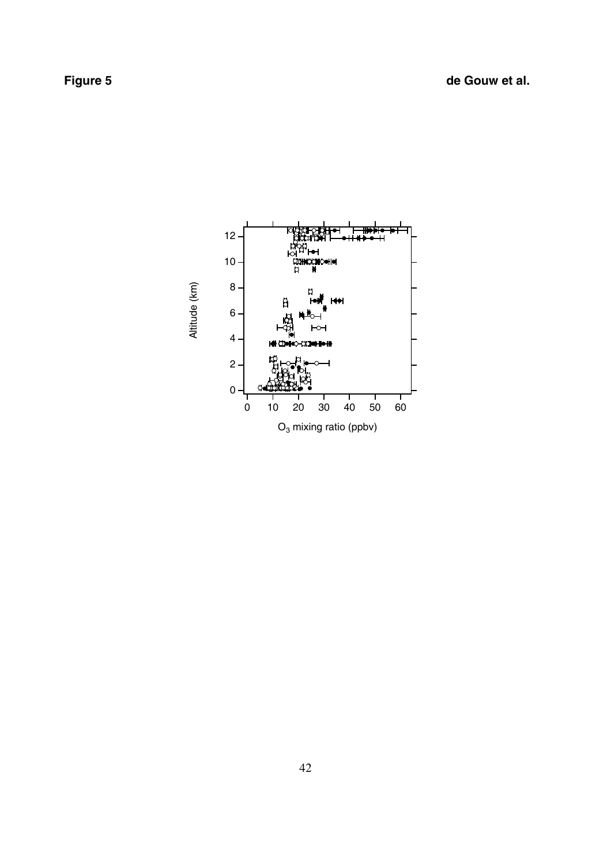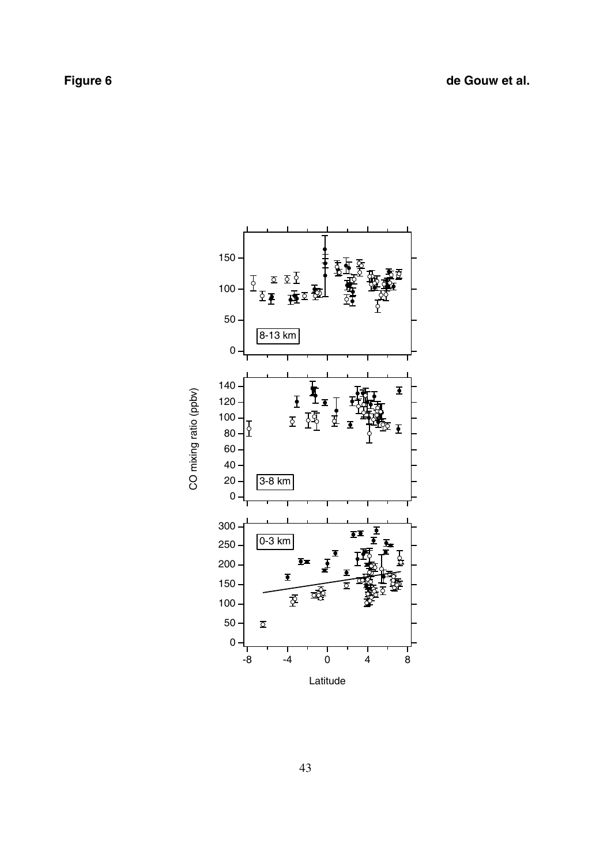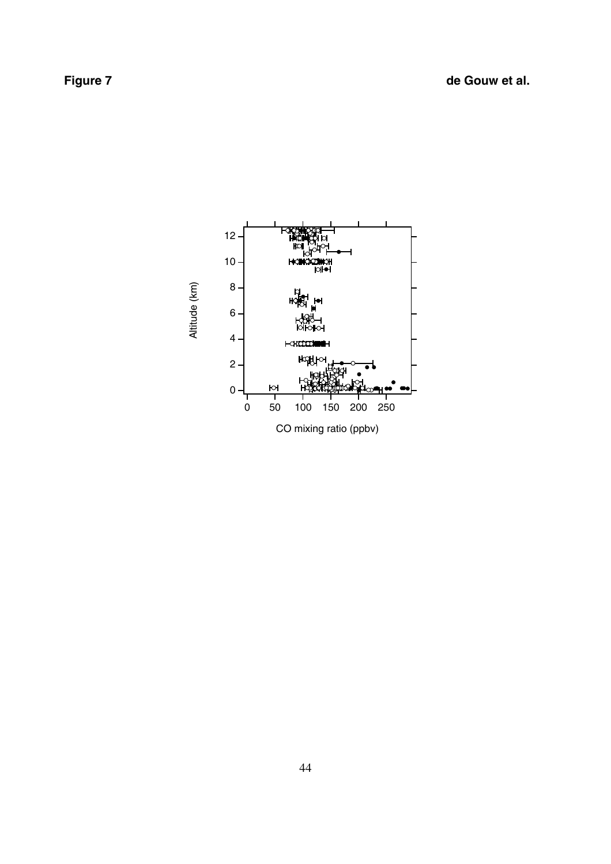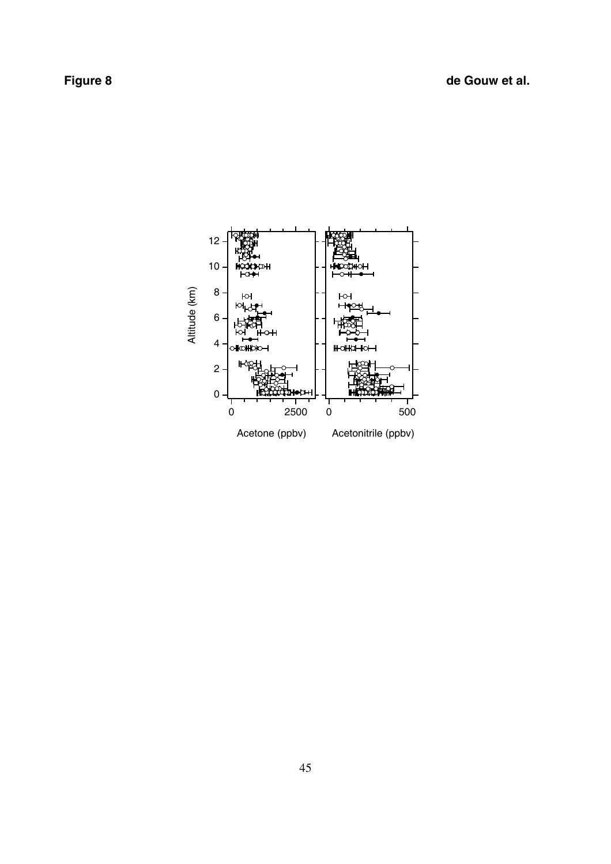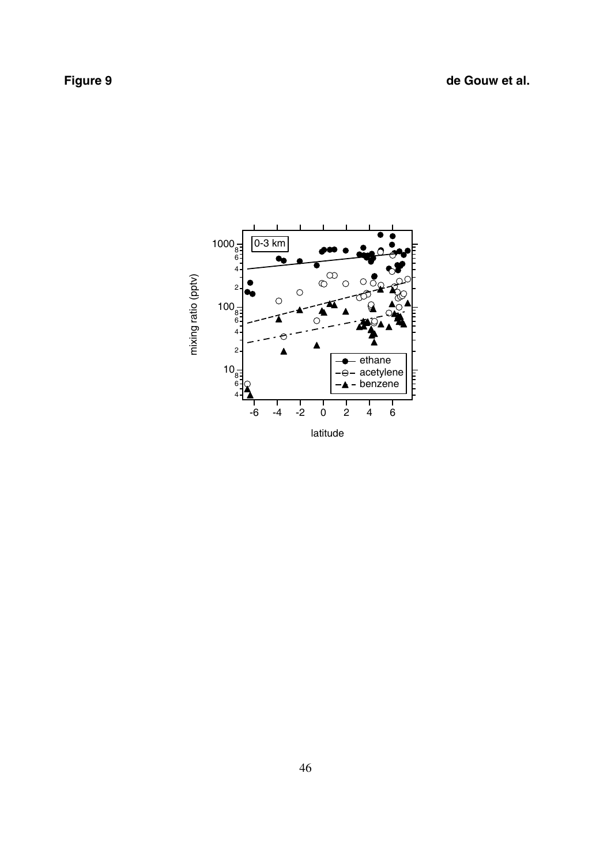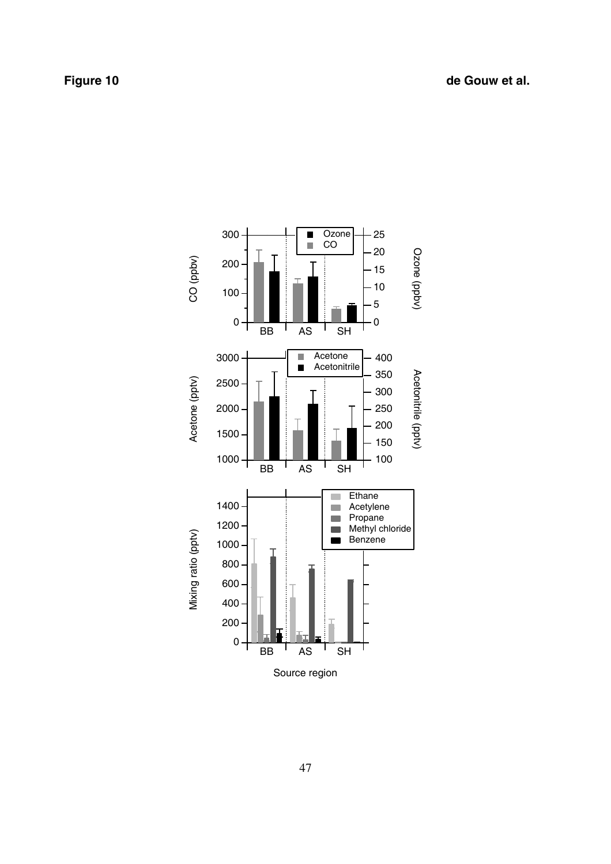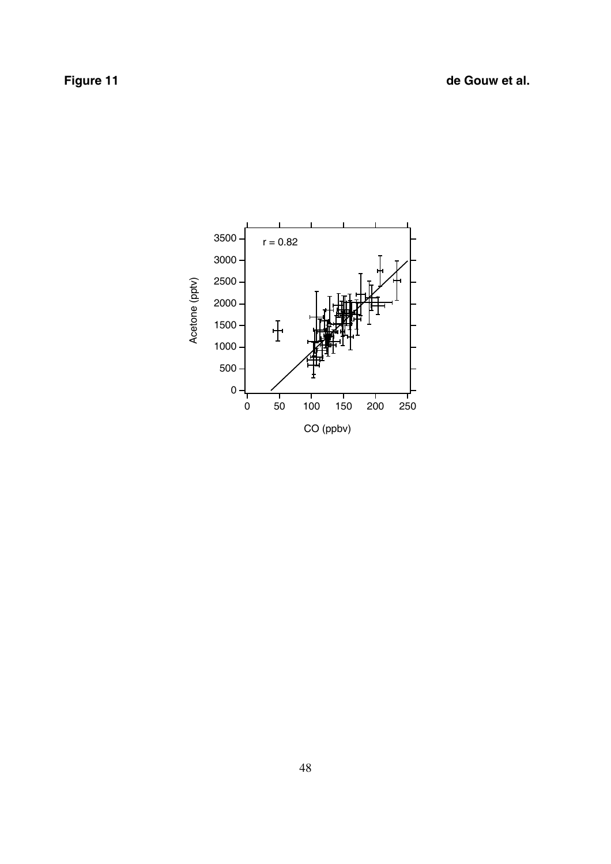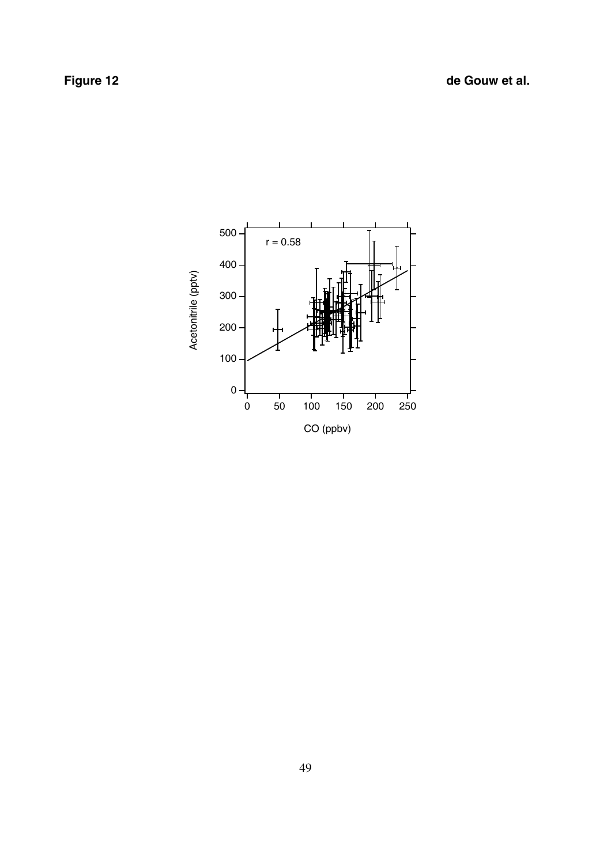**Figure 12** de Gouw et al.

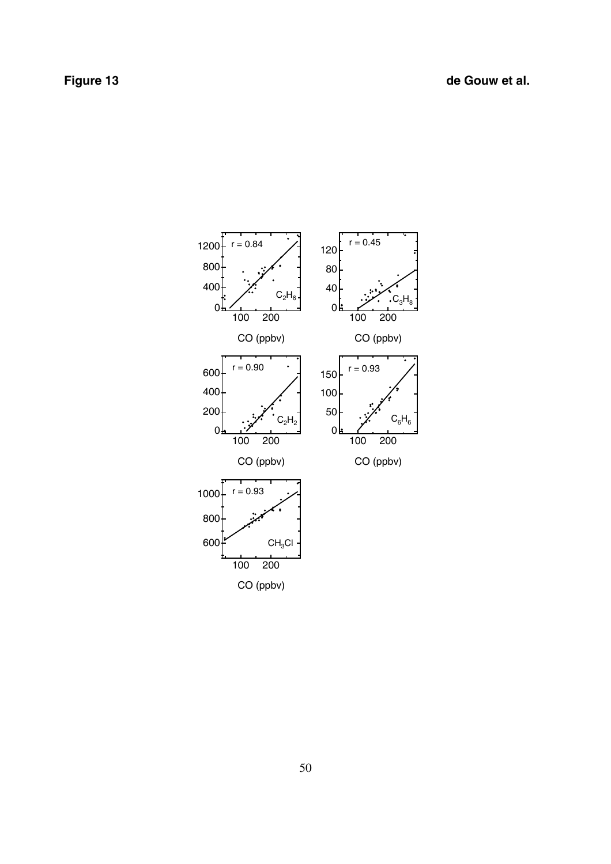**Figure 13** de Gouw et al.

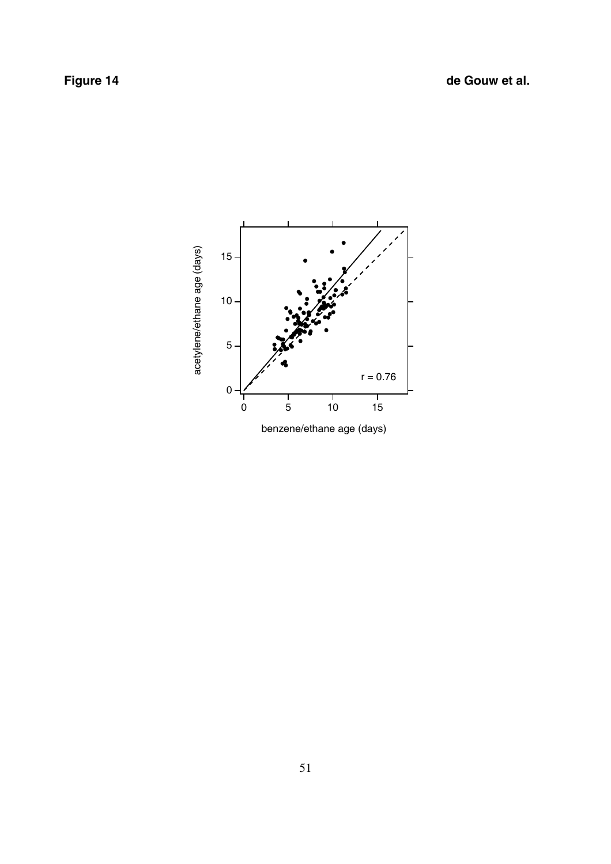

benzene/ethane age (days)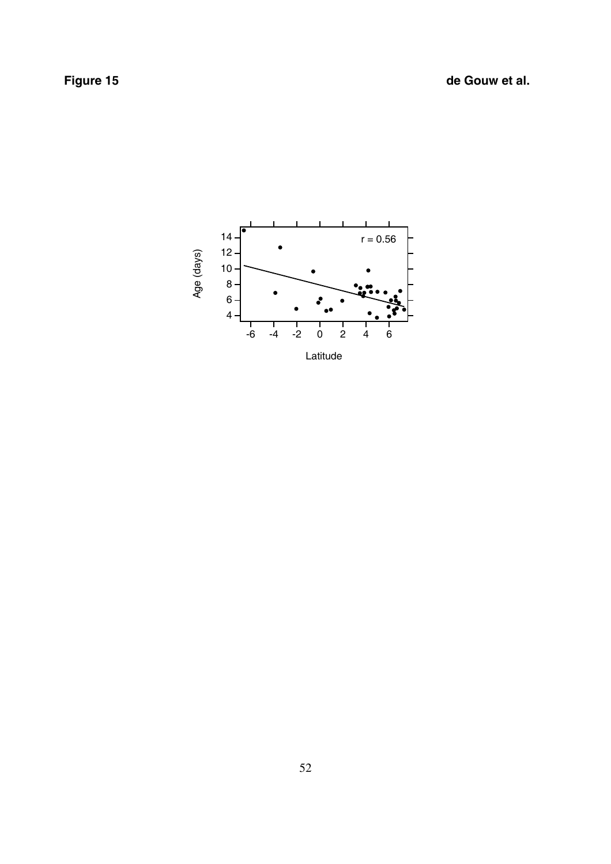**Figure 15** de Gouw et al.